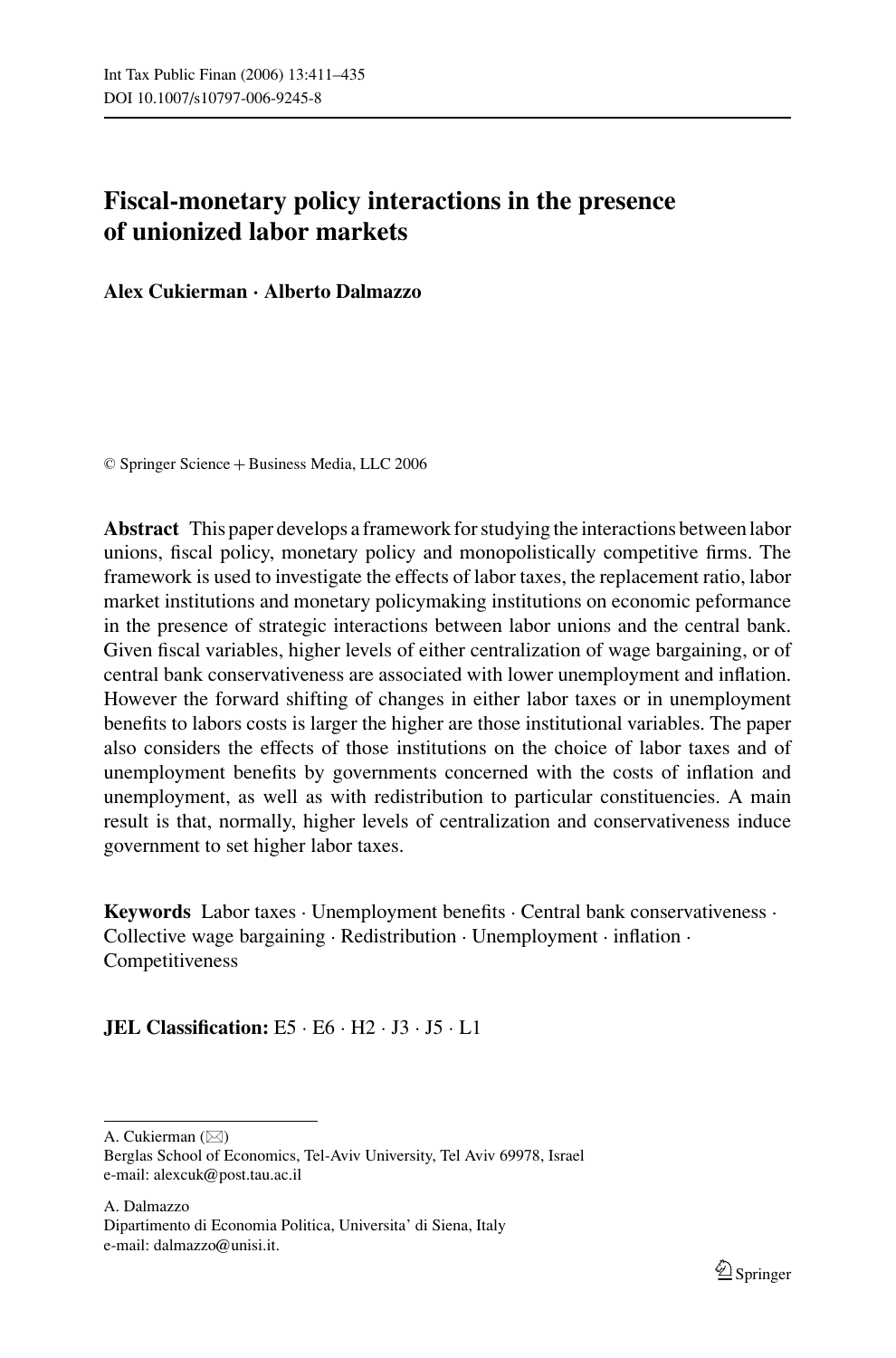# **Fiscal-monetary policy interactions in the presence of unionized labor markets**

**Alex Cukierman** *·* **Alberto Dalmazzo**

© Springer Science + Business Media, LLC 2006

**Abstract** This paper develops a framework for studying the interactions between labor unions, fiscal policy, monetary policy and monopolistically competitive firms. The framework is used to investigate the effects of labor taxes, the replacement ratio, labor market institutions and monetary policymaking institutions on economic peformance in the presence of strategic interactions between labor unions and the central bank. Given fiscal variables, higher levels of either centralization of wage bargaining, or of central bank conservativeness are associated with lower unemployment and inflation. However the forward shifting of changes in either labor taxes or in unemployment benefits to labors costs is larger the higher are those institutional variables. The paper also considers the effects of those institutions on the choice of labor taxes and of unemployment benefits by governments concerned with the costs of inflation and unemployment, as well as with redistribution to particular constituencies. A main result is that, normally, higher levels of centralization and conservativeness induce government to set higher labor taxes.

**Keywords** Labor taxes . Unemployment benefits . Central bank conservativeness . Collective wage bargaining . Redistribution . Unemployment . inflation . Competitiveness

**JEL Classification:** E5 · E6 · H2 · J3 · J5 · L1

A. Cukierman ( $\boxtimes$ )

A. Dalmazzo Dipartimento di Economia Politica, Universita' di Siena, Italy e-mail: dalmazzo@unisi.it.

Berglas School of Economics, Tel-Aviv University, Tel Aviv 69978, Israel e-mail: alexcuk@post.tau.ac.il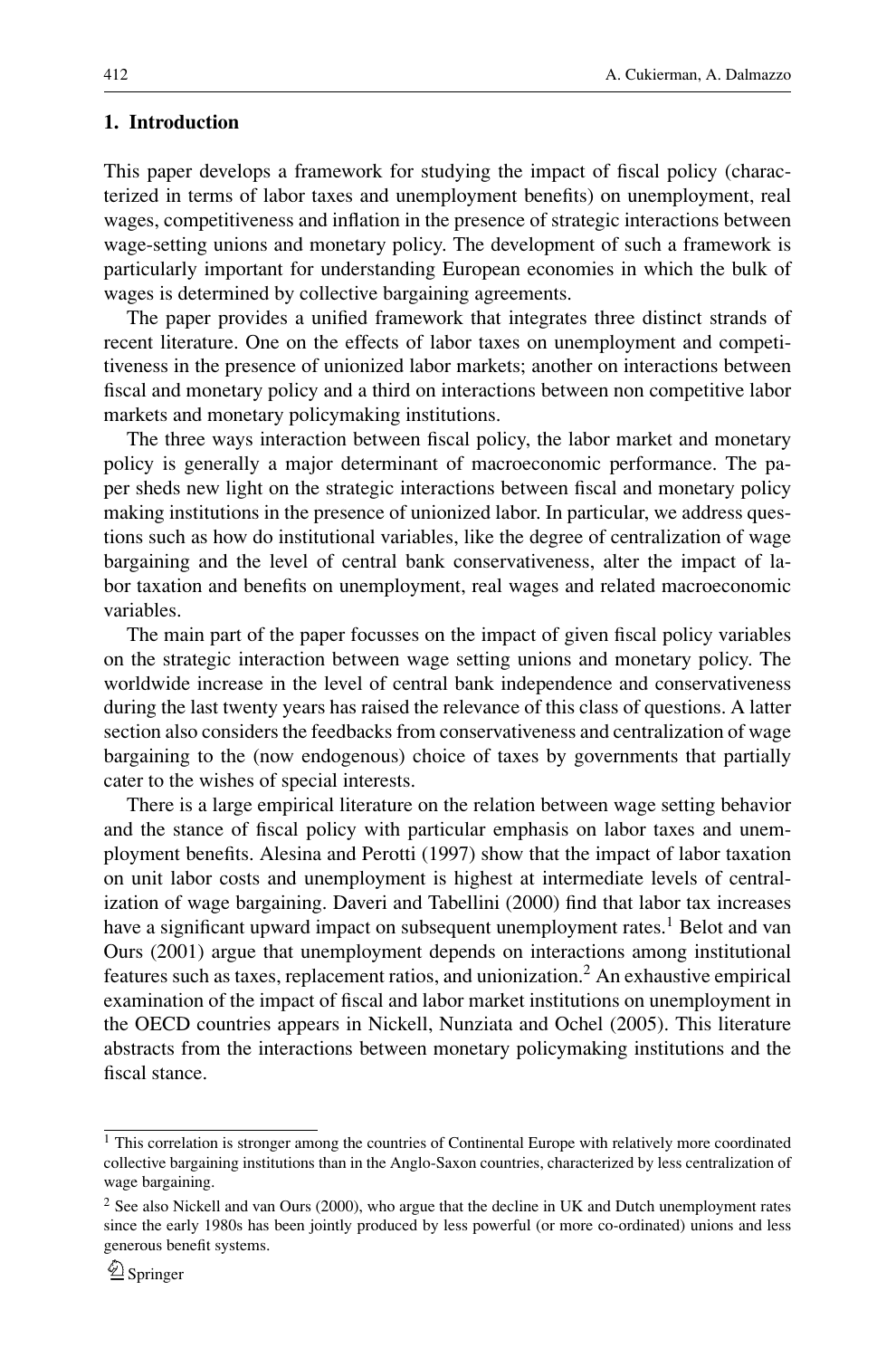#### **1. Introduction**

This paper develops a framework for studying the impact of fiscal policy (characterized in terms of labor taxes and unemployment benefits) on unemployment, real wages, competitiveness and inflation in the presence of strategic interactions between wage-setting unions and monetary policy. The development of such a framework is particularly important for understanding European economies in which the bulk of wages is determined by collective bargaining agreements.

The paper provides a unified framework that integrates three distinct strands of recent literature. One on the effects of labor taxes on unemployment and competitiveness in the presence of unionized labor markets; another on interactions between fiscal and monetary policy and a third on interactions between non competitive labor markets and monetary policymaking institutions.

The three ways interaction between fiscal policy, the labor market and monetary policy is generally a major determinant of macroeconomic performance. The paper sheds new light on the strategic interactions between fiscal and monetary policy making institutions in the presence of unionized labor. In particular, we address questions such as how do institutional variables, like the degree of centralization of wage bargaining and the level of central bank conservativeness, alter the impact of labor taxation and benefits on unemployment, real wages and related macroeconomic variables.

The main part of the paper focusses on the impact of given fiscal policy variables on the strategic interaction between wage setting unions and monetary policy. The worldwide increase in the level of central bank independence and conservativeness during the last twenty years has raised the relevance of this class of questions. A latter section also considers the feedbacks from conservativeness and centralization of wage bargaining to the (now endogenous) choice of taxes by governments that partially cater to the wishes of special interests.

There is a large empirical literature on the relation between wage setting behavior and the stance of fiscal policy with particular emphasis on labor taxes and unemployment benefits. Alesina and Perotti (1997) show that the impact of labor taxation on unit labor costs and unemployment is highest at intermediate levels of centralization of wage bargaining. Daveri and Tabellini (2000) find that labor tax increases have a significant upward impact on subsequent unemployment rates.<sup>1</sup> Belot and van Ours (2001) argue that unemployment depends on interactions among institutional features such as taxes, replacement ratios, and unionization.<sup>2</sup> An exhaustive empirical examination of the impact of fiscal and labor market institutions on unemployment in the OECD countries appears in Nickell, Nunziata and Ochel (2005). This literature abstracts from the interactions between monetary policymaking institutions and the fiscal stance.

<sup>&</sup>lt;sup>1</sup> This correlation is stronger among the countries of Continental Europe with relatively more coordinated collective bargaining institutions than in the Anglo-Saxon countries, characterized by less centralization of wage bargaining.

<sup>&</sup>lt;sup>2</sup> See also Nickell and van Ours (2000), who argue that the decline in UK and Dutch unemployment rates since the early 1980s has been jointly produced by less powerful (or more co-ordinated) unions and less generous benefit systems.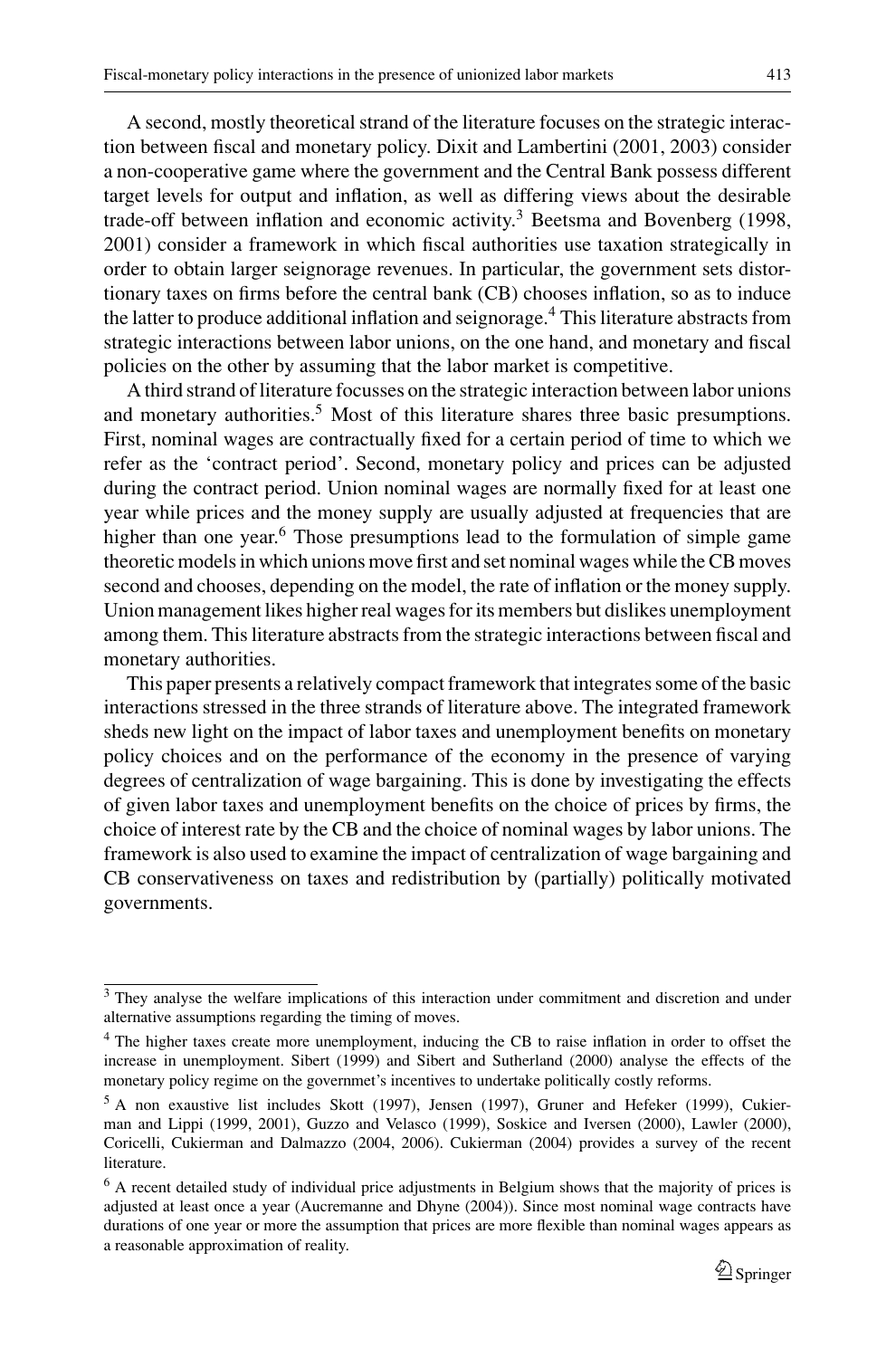A second, mostly theoretical strand of the literature focuses on the strategic interaction between fiscal and monetary policy. Dixit and Lambertini (2001, 2003) consider a non-cooperative game where the government and the Central Bank possess different target levels for output and inflation, as well as differing views about the desirable trade-off between inflation and economic activity.<sup>3</sup> Beetsma and Bovenberg (1998, 2001) consider a framework in which fiscal authorities use taxation strategically in order to obtain larger seignorage revenues. In particular, the government sets distortionary taxes on firms before the central bank (CB) chooses inflation, so as to induce the latter to produce additional inflation and seignorage.<sup>4</sup> This literature abstracts from strategic interactions between labor unions, on the one hand, and monetary and fiscal policies on the other by assuming that the labor market is competitive.

A third strand of literature focusses on the strategic interaction between labor unions and monetary authorities.<sup>5</sup> Most of this literature shares three basic presumptions. First, nominal wages are contractually fixed for a certain period of time to which we refer as the 'contract period'. Second, monetary policy and prices can be adjusted during the contract period. Union nominal wages are normally fixed for at least one year while prices and the money supply are usually adjusted at frequencies that are higher than one year.<sup>6</sup> Those presumptions lead to the formulation of simple game theoretic models in which unions move first and set nominal wages while the CB moves second and chooses, depending on the model, the rate of inflation or the money supply. Union management likes higher real wages for its members but dislikes unemployment among them. This literature abstracts from the strategic interactions between fiscal and monetary authorities.

This paper presents a relatively compact framework that integrates some of the basic interactions stressed in the three strands of literature above. The integrated framework sheds new light on the impact of labor taxes and unemployment benefits on monetary policy choices and on the performance of the economy in the presence of varying degrees of centralization of wage bargaining. This is done by investigating the effects of given labor taxes and unemployment benefits on the choice of prices by firms, the choice of interest rate by the CB and the choice of nominal wages by labor unions. The framework is also used to examine the impact of centralization of wage bargaining and CB conservativeness on taxes and redistribution by (partially) politically motivated governments.

<sup>&</sup>lt;sup>3</sup> They analyse the welfare implications of this interaction under commitment and discretion and under alternative assumptions regarding the timing of moves.

<sup>&</sup>lt;sup>4</sup> The higher taxes create more unemployment, inducing the CB to raise inflation in order to offset the increase in unemployment. Sibert (1999) and Sibert and Sutherland (2000) analyse the effects of the monetary policy regime on the governmet's incentives to undertake politically costly reforms.

<sup>&</sup>lt;sup>5</sup> A non exaustive list includes Skott (1997), Jensen (1997), Gruner and Hefeker (1999), Cukierman and Lippi (1999, 2001), Guzzo and Velasco (1999), Soskice and Iversen (2000), Lawler (2000), Coricelli, Cukierman and Dalmazzo (2004, 2006). Cukierman (2004) provides a survey of the recent literature.

<sup>&</sup>lt;sup>6</sup> A recent detailed study of individual price adjustments in Belgium shows that the majority of prices is adjusted at least once a year (Aucremanne and Dhyne (2004)). Since most nominal wage contracts have durations of one year or more the assumption that prices are more flexible than nominal wages appears as a reasonable approximation of reality.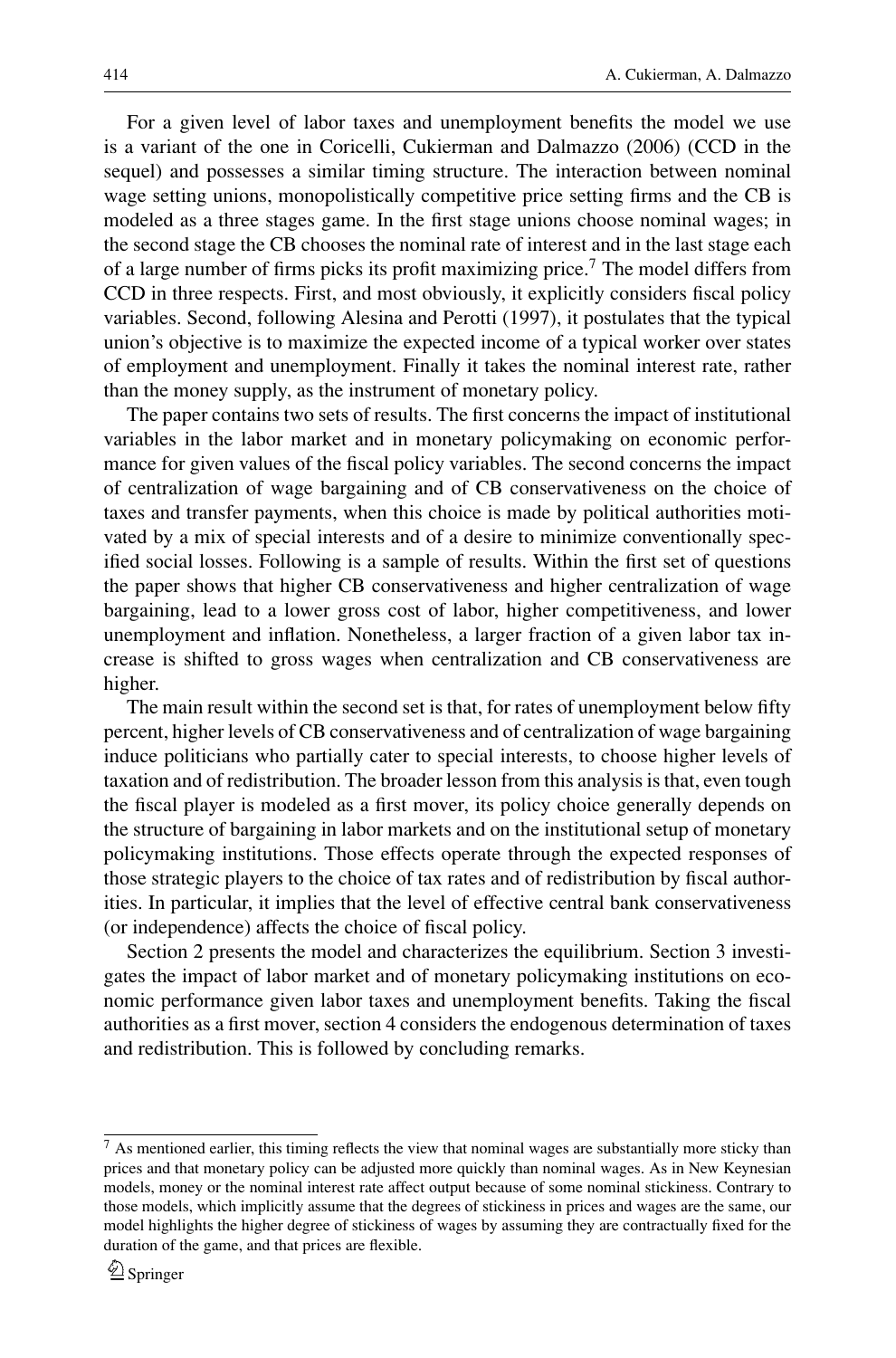For a given level of labor taxes and unemployment benefits the model we use is a variant of the one in Coricelli, Cukierman and Dalmazzo (2006) (CCD in the sequel) and possesses a similar timing structure. The interaction between nominal wage setting unions, monopolistically competitive price setting firms and the CB is modeled as a three stages game. In the first stage unions choose nominal wages; in the second stage the CB chooses the nominal rate of interest and in the last stage each of a large number of firms picks its profit maximizing price.<sup>7</sup> The model differs from CCD in three respects. First, and most obviously, it explicitly considers fiscal policy variables. Second, following Alesina and Perotti (1997), it postulates that the typical union's objective is to maximize the expected income of a typical worker over states of employment and unemployment. Finally it takes the nominal interest rate, rather than the money supply, as the instrument of monetary policy.

The paper contains two sets of results. The first concerns the impact of institutional variables in the labor market and in monetary policymaking on economic performance for given values of the fiscal policy variables. The second concerns the impact of centralization of wage bargaining and of CB conservativeness on the choice of taxes and transfer payments, when this choice is made by political authorities motivated by a mix of special interests and of a desire to minimize conventionally specified social losses. Following is a sample of results. Within the first set of questions the paper shows that higher CB conservativeness and higher centralization of wage bargaining, lead to a lower gross cost of labor, higher competitiveness, and lower unemployment and inflation. Nonetheless, a larger fraction of a given labor tax increase is shifted to gross wages when centralization and CB conservativeness are higher.

The main result within the second set is that, for rates of unemployment below fifty percent, higher levels of CB conservativeness and of centralization of wage bargaining induce politicians who partially cater to special interests, to choose higher levels of taxation and of redistribution. The broader lesson from this analysis is that, even tough the fiscal player is modeled as a first mover, its policy choice generally depends on the structure of bargaining in labor markets and on the institutional setup of monetary policymaking institutions. Those effects operate through the expected responses of those strategic players to the choice of tax rates and of redistribution by fiscal authorities. In particular, it implies that the level of effective central bank conservativeness (or independence) affects the choice of fiscal policy.

Section 2 presents the model and characterizes the equilibrium. Section 3 investigates the impact of labor market and of monetary policymaking institutions on economic performance given labor taxes and unemployment benefits. Taking the fiscal authorities as a first mover, section 4 considers the endogenous determination of taxes and redistribution. This is followed by concluding remarks.

 $7$  As mentioned earlier, this timing reflects the view that nominal wages are substantially more sticky than prices and that monetary policy can be adjusted more quickly than nominal wages. As in New Keynesian models, money or the nominal interest rate affect output because of some nominal stickiness. Contrary to those models, which implicitly assume that the degrees of stickiness in prices and wages are the same, our model highlights the higher degree of stickiness of wages by assuming they are contractually fixed for the duration of the game, and that prices are flexible.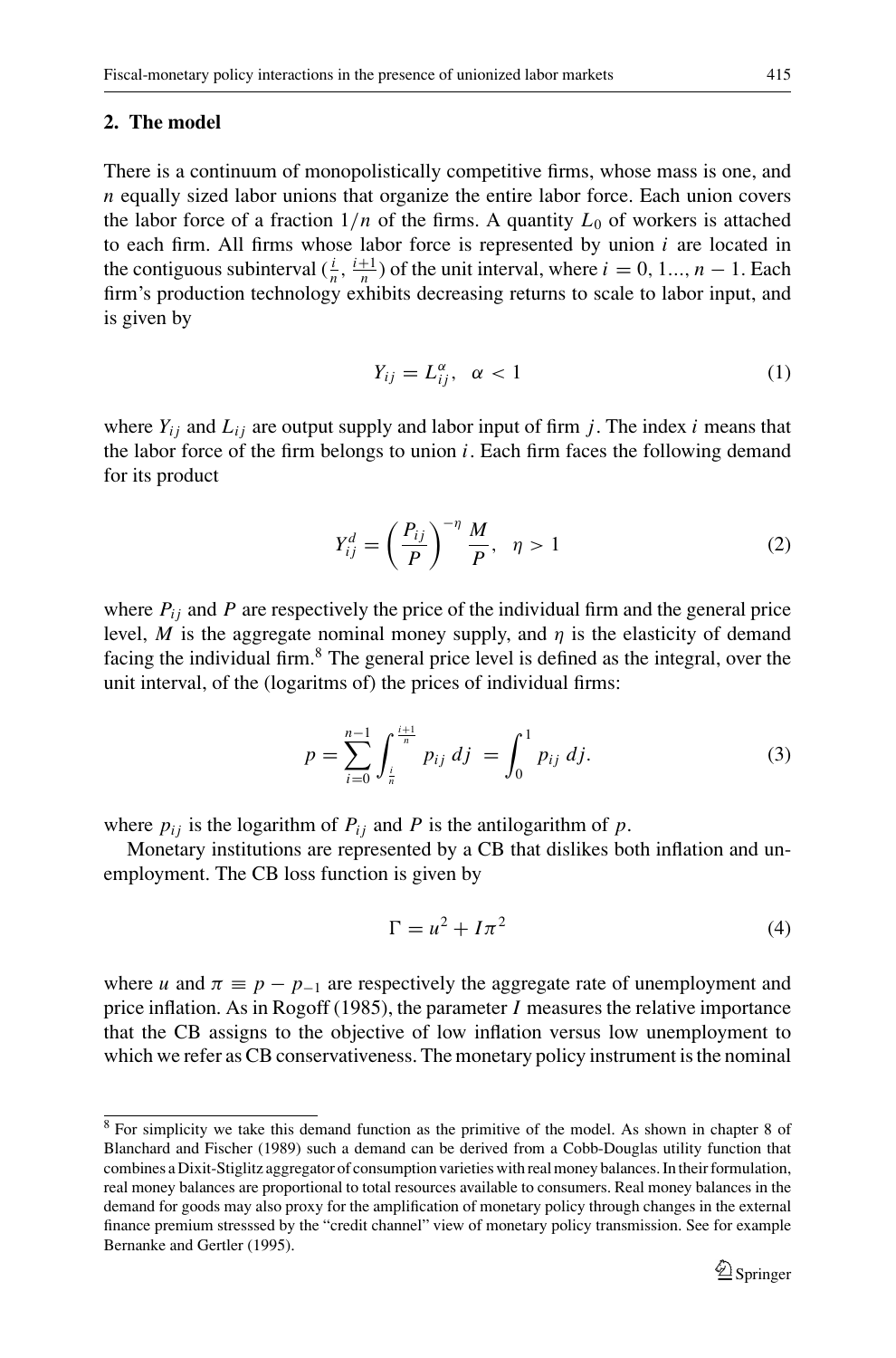# **2. The model**

There is a continuum of monopolistically competitive firms, whose mass is one, and *n* equally sized labor unions that organize the entire labor force. Each union covers the labor force of a fraction  $1/n$  of the firms. A quantity  $L_0$  of workers is attached to each firm. All firms whose labor force is represented by union *i* are located in the contiguous subinterval  $(\frac{i}{n}, \frac{i+1}{n})$  of the unit interval, where  $i = 0, 1, ..., n - 1$ . Each firm's production technology exhibits decreasing returns to scale to labor input, and is given by

$$
Y_{ij} = L_{ij}^{\alpha}, \quad \alpha < 1 \tag{1}
$$

where  $Y_{ij}$  and  $L_{ij}$  are output supply and labor input of firm *j*. The index *i* means that the labor force of the firm belongs to union  $i$ . Each firm faces the following demand for its product

$$
Y_{ij}^d = \left(\frac{P_{ij}}{P}\right)^{-\eta} \frac{M}{P}, \quad \eta > 1
$$
 (2)

where  $P_{ij}$  and  $P$  are respectively the price of the individual firm and the general price level, *M* is the aggregate nominal money supply, and  $\eta$  is the elasticity of demand facing the individual firm. $8$  The general price level is defined as the integral, over the unit interval, of the (logaritms of) the prices of individual firms:

$$
p = \sum_{i=0}^{n-1} \int_{\frac{i}{n}}^{\frac{i+1}{n}} p_{ij} \, dj = \int_0^1 p_{ij} \, dj. \tag{3}
$$

where  $p_{ij}$  is the logarithm of  $P_{ij}$  and  $P$  is the antilogarithm of  $p$ .

Monetary institutions are represented by a CB that dislikes both inflation and unemployment. The CB loss function is given by

$$
\Gamma = u^2 + I\pi^2 \tag{4}
$$

where *u* and  $\pi \equiv p - p_{-1}$  are respectively the aggregate rate of unemployment and price inflation. As in Rogoff (1985), the parameter *I* measures the relative importance that the CB assigns to the objective of low inflation versus low unemployment to which we refer as CB conservativeness. The monetary policy instrument is the nominal

<sup>8</sup> For simplicity we take this demand function as the primitive of the model. As shown in chapter 8 of Blanchard and Fischer (1989) such a demand can be derived from a Cobb-Douglas utility function that combines a Dixit-Stiglitz aggregator of consumption varieties with real money balances. In their formulation, real money balances are proportional to total resources available to consumers. Real money balances in the demand for goods may also proxy for the amplification of monetary policy through changes in the external finance premium stresssed by the "credit channel" view of monetary policy transmission. See for example Bernanke and Gertler (1995).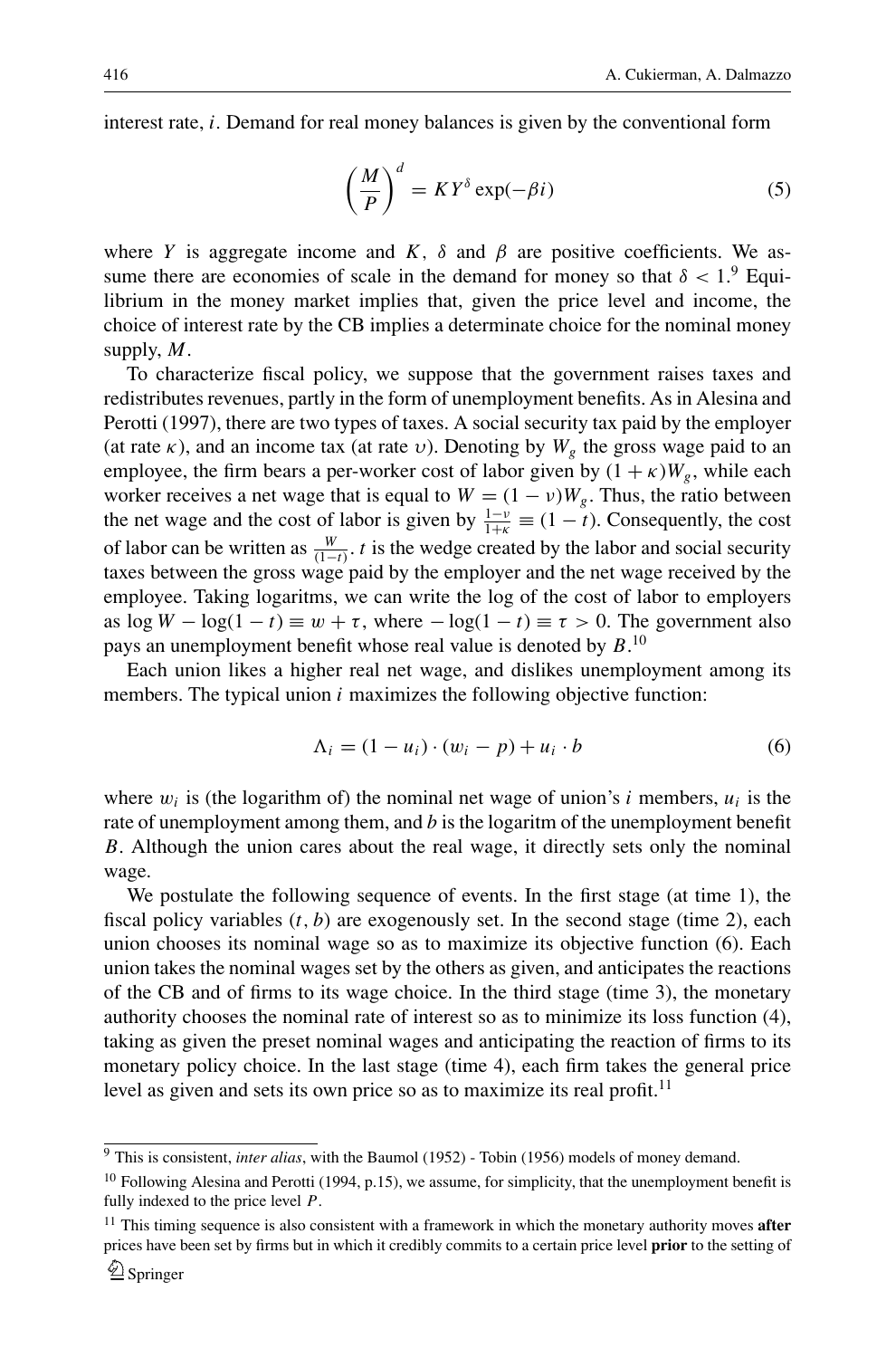interest rate, *i*. Demand for real money balances is given by the conventional form

$$
\left(\frac{M}{P}\right)^d = KY^{\delta}\exp(-\beta i)
$$
\n(5)

where *Y* is aggregate income and *K*,  $\delta$  and  $\beta$  are positive coefficients. We assume there are economies of scale in the demand for money so that  $\delta < 1$ .<sup>9</sup> Equilibrium in the money market implies that, given the price level and income, the choice of interest rate by the CB implies a determinate choice for the nominal money supply, *M*.

To characterize fiscal policy, we suppose that the government raises taxes and redistributes revenues, partly in the form of unemployment benefits. As in Alesina and Perotti (1997), there are two types of taxes. A social security tax paid by the employer (at rate  $\kappa$ ), and an income tax (at rate *v*). Denoting by  $W_g$  the gross wage paid to an employee, the firm bears a per-worker cost of labor given by  $(1 + \kappa)W_g$ , while each worker receives a net wage that is equal to  $W = (1 - v)W_g$ . Thus, the ratio between the net wage and the cost of labor is given by  $\frac{1-v}{1+\kappa} \equiv (1-t)$ . Consequently, the cost of labor can be written as  $\frac{W}{(1-t)}$ . *t* is the wedge created by the labor and social security taxes between the gross wage paid by the employer and the net wage received by the employee. Taking logaritms, we can write the log of the cost of labor to employers as  $\log W - \log(1 - t) \equiv w + \tau$ , where  $-\log(1 - t) \equiv \tau > 0$ . The government also pays an unemployment benefit whose real value is denoted by *B*. 10

Each union likes a higher real net wage, and dislikes unemployment among its members. The typical union *i* maximizes the following objective function:

$$
\Lambda_i = (1 - u_i) \cdot (w_i - p) + u_i \cdot b \tag{6}
$$

where  $w_i$  is (the logarithm of) the nominal net wage of union's *i* members,  $u_i$  is the rate of unemployment among them, and *b* is the logaritm of the unemployment benefit *B*. Although the union cares about the real wage, it directly sets only the nominal wage.

We postulate the following sequence of events. In the first stage (at time 1), the fiscal policy variables  $(t, b)$  are exogenously set. In the second stage (time 2), each union chooses its nominal wage so as to maximize its objective function (6). Each union takes the nominal wages set by the others as given, and anticipates the reactions of the CB and of firms to its wage choice. In the third stage (time 3), the monetary authority chooses the nominal rate of interest so as to minimize its loss function (4), taking as given the preset nominal wages and anticipating the reaction of firms to its monetary policy choice. In the last stage (time 4), each firm takes the general price level as given and sets its own price so as to maximize its real profit.<sup>11</sup>

<sup>&</sup>lt;sup>9</sup> This is consistent, *inter alias*, with the Baumol (1952) - Tobin (1956) models of money demand.

 $10$  Following Alesina and Perotti (1994, p.15), we assume, for simplicity, that the unemployment benefit is fully indexed to the price level *P*.

<sup>&</sup>lt;sup>11</sup> This timing sequence is also consistent with a framework in which the monetary authority moves **after** prices have been set by firms but in which it credibly commits to a certain price level **prior** to the setting of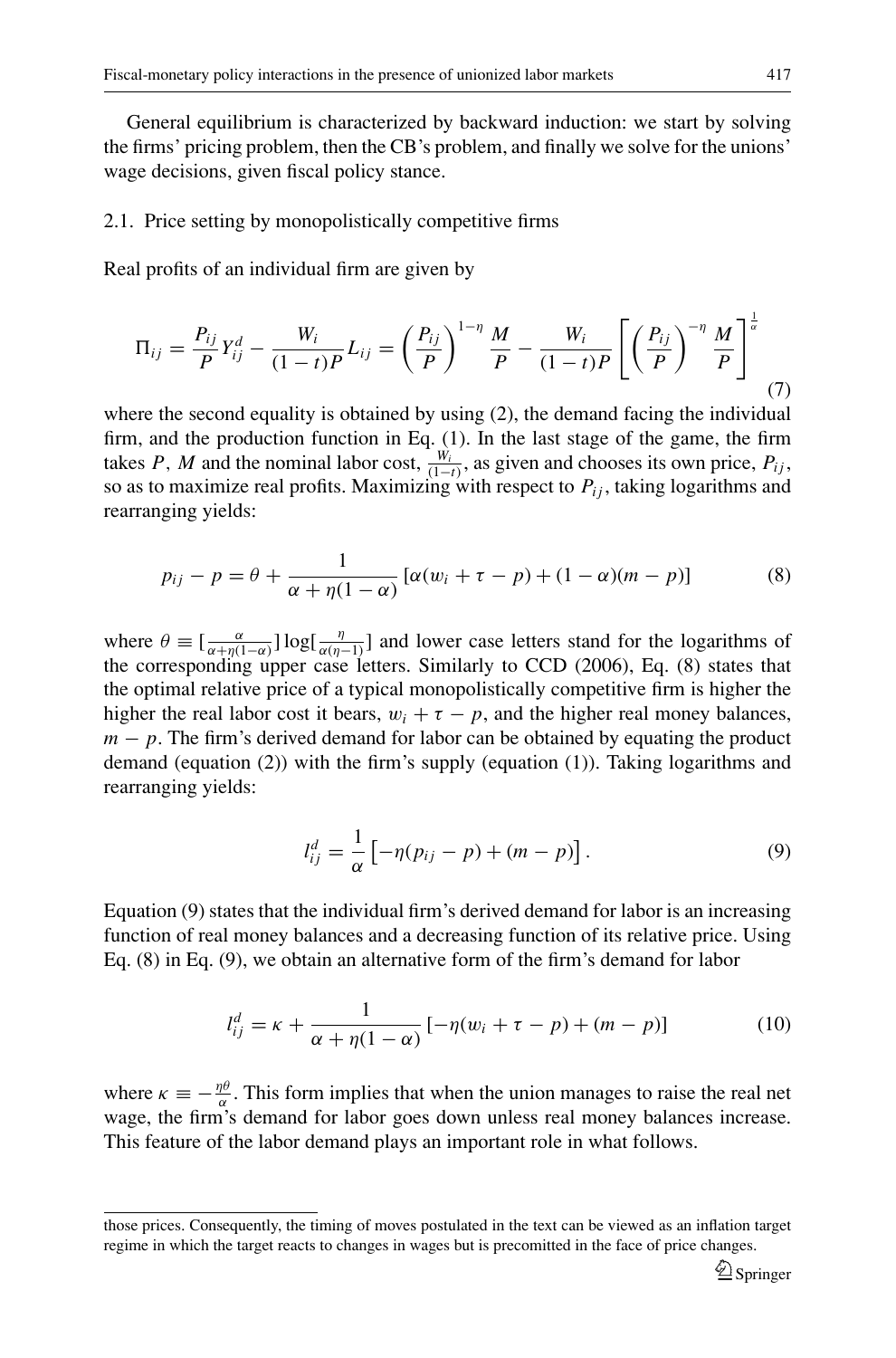General equilibrium is characterized by backward induction: we start by solving the firms' pricing problem, then the CB's problem, and finally we solve for the unions' wage decisions, given fiscal policy stance.

## 2.1. Price setting by monopolistically competitive firms

Real profits of an individual firm are given by

$$
\Pi_{ij} = \frac{P_{ij}}{P} Y_{ij}^d - \frac{W_i}{(1-t)P} L_{ij} = \left(\frac{P_{ij}}{P}\right)^{1-\eta} \frac{M}{P} - \frac{W_i}{(1-t)P} \left[\left(\frac{P_{ij}}{P}\right)^{-\eta} \frac{M}{P}\right]^{\frac{1}{\alpha}}
$$
(7)

where the second equality is obtained by using (2), the demand facing the individual firm, and the production function in Eq. (1). In the last stage of the game, the firm takes *P*, *M* and the nominal labor cost,  $\frac{W_i}{(1-t)}$ , as given and chooses its own price,  $P_{ij}$ , so as to maximize real profits. Maximizing with respect to  $P_{ij}$ , taking logarithms and rearranging yields:

$$
p_{ij} - p = \theta + \frac{1}{\alpha + \eta(1 - \alpha)} [\alpha(w_i + \tau - p) + (1 - \alpha)(m - p)] \tag{8}
$$

where  $\theta \equiv \left[\frac{\alpha}{\alpha + \eta(1-\alpha)}\right] \log\left[\frac{\eta}{\alpha(\eta-1)}\right]$  and lower case letters stand for the logarithms of the corresponding upper case letters. Similarly to CCD (2006), Eq. (8) states that the optimal relative price of a typical monopolistically competitive firm is higher the higher the real labor cost it bears,  $w_i + \tau - p$ , and the higher real money balances, *m* − *p*. The firm's derived demand for labor can be obtained by equating the product demand (equation (2)) with the firm's supply (equation (1)). Taking logarithms and rearranging yields:

$$
l_{ij}^d = \frac{1}{\alpha} \left[ -\eta (p_{ij} - p) + (m - p) \right]. \tag{9}
$$

Equation (9) states that the individual firm's derived demand for labor is an increasing function of real money balances and a decreasing function of its relative price. Using Eq. (8) in Eq. (9), we obtain an alternative form of the firm's demand for labor

$$
l_{ij}^d = \kappa + \frac{1}{\alpha + \eta(1 - \alpha)} \left[ -\eta(w_i + \tau - p) + (m - p) \right]
$$
 (10)

where  $\kappa \equiv -\frac{\eta \theta}{\alpha}$ . This form implies that when the union manages to raise the real net wage, the firm's demand for labor goes down unless real money balances increase. This feature of the labor demand plays an important role in what follows.

those prices. Consequently, the timing of moves postulated in the text can be viewed as an inflation target regime in which the target reacts to changes in wages but is precomitted in the face of price changes.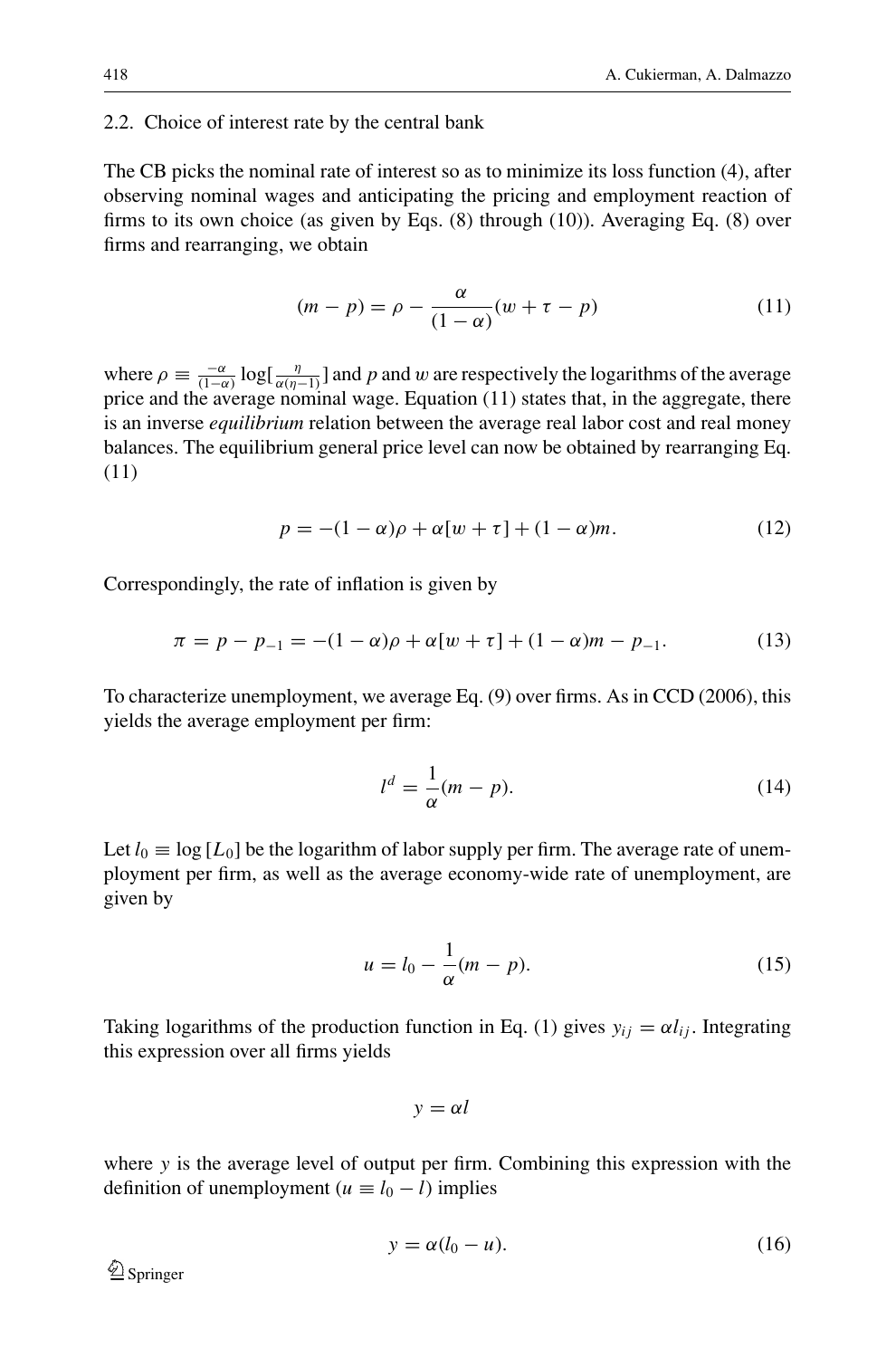## 2.2. Choice of interest rate by the central bank

The CB picks the nominal rate of interest so as to minimize its loss function (4), after observing nominal wages and anticipating the pricing and employment reaction of firms to its own choice (as given by Eqs. (8) through (10)). Averaging Eq. (8) over firms and rearranging, we obtain

$$
(m-p) = \rho - \frac{\alpha}{(1-\alpha)}(w+\tau-p) \tag{11}
$$

where  $\rho \equiv \frac{-\alpha}{(1-\alpha)} \log[\frac{\eta}{\alpha(\eta-1)}]$  and p and w are respectively the logarithms of the average price and the average nominal wage. Equation (11) states that, in the aggregate, there is an inverse *equilibrium* relation between the average real labor cost and real money balances. The equilibrium general price level can now be obtained by rearranging Eq. (11)

$$
p = -(1 - \alpha)\rho + \alpha[w + \tau] + (1 - \alpha)m. \tag{12}
$$

Correspondingly, the rate of inflation is given by

$$
\pi = p - p_{-1} = -(1 - \alpha)\rho + \alpha[w + \tau] + (1 - \alpha)m - p_{-1}.
$$
 (13)

To characterize unemployment, we average Eq. (9) over firms. As in CCD (2006), this yields the average employment per firm:

$$
l^d = \frac{1}{\alpha}(m - p). \tag{14}
$$

Let  $l_0 \equiv \log [L_0]$  be the logarithm of labor supply per firm. The average rate of unemployment per firm, as well as the average economy-wide rate of unemployment, are given by

$$
u = l_0 - \frac{1}{\alpha}(m - p). \tag{15}
$$

Taking logarithms of the production function in Eq. (1) gives  $y_{ij} = \alpha l_{ij}$ . Integrating this expression over all firms yields

$$
y = \alpha l
$$

where *y* is the average level of output per firm. Combining this expression with the definition of unemployment ( $u \equiv l_0 - l$ ) implies

$$
y = \alpha(l_0 - u). \tag{16}
$$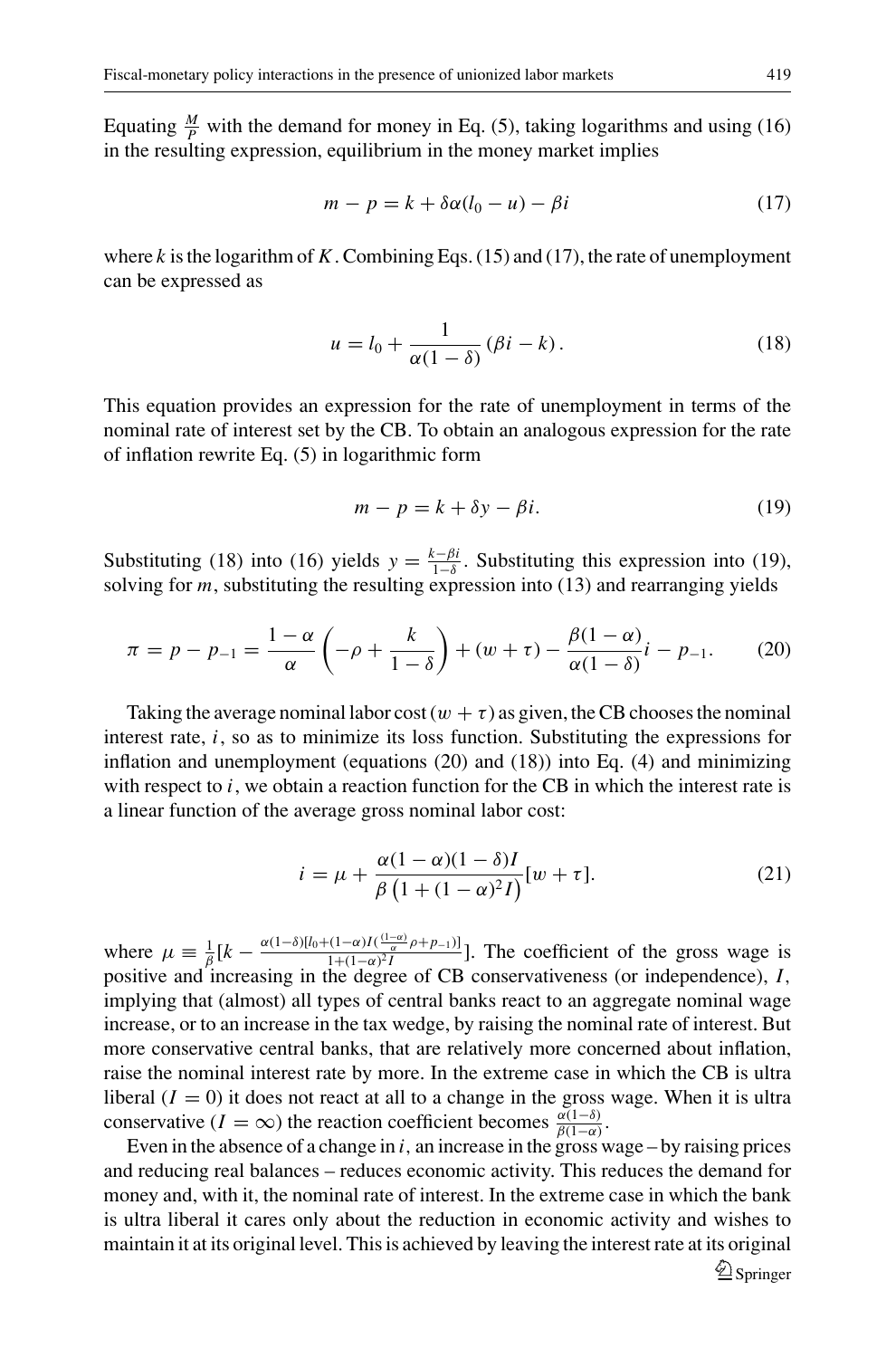Equating  $\frac{M}{P}$  with the demand for money in Eq. (5), taking logarithms and using (16) in the resulting expression, equilibrium in the money market implies

$$
m - p = k + \delta \alpha (l_0 - u) - \beta i \tag{17}
$$

where  $k$  is the logarithm of  $K$ . Combining Eqs. (15) and (17), the rate of unemployment can be expressed as

$$
u = l_0 + \frac{1}{\alpha(1-\delta)} (\beta i - k). \tag{18}
$$

This equation provides an expression for the rate of unemployment in terms of the nominal rate of interest set by the CB. To obtain an analogous expression for the rate of inflation rewrite Eq. (5) in logarithmic form

$$
m - p = k + \delta y - \beta i. \tag{19}
$$

Substituting (18) into (16) yields  $y = \frac{k-\beta i}{1-\delta}$ . Substituting this expression into (19), solving for *m*, substituting the resulting expression into (13) and rearranging yields

$$
\pi = p - p_{-1} = \frac{1 - \alpha}{\alpha} \left( -\rho + \frac{k}{1 - \delta} \right) + (w + \tau) - \frac{\beta(1 - \alpha)}{\alpha(1 - \delta)} i - p_{-1}.
$$
 (20)

Taking the average nominal labor cost  $(w + \tau)$  as given, the CB chooses the nominal interest rate, *i*, so as to minimize its loss function. Substituting the expressions for inflation and unemployment (equations (20) and (18)) into Eq. (4) and minimizing with respect to  $i$ , we obtain a reaction function for the CB in which the interest rate is a linear function of the average gross nominal labor cost:

$$
i = \mu + \frac{\alpha(1 - \alpha)(1 - \delta)I}{\beta(1 + (1 - \alpha)^2 I)} [w + \tau].
$$
 (21)

where  $\mu \equiv \frac{1}{\beta} [k - \frac{\alpha (1-\delta)[l_0 + (1-\alpha)I(\frac{(1-\alpha)}{2}\rho + p_{-1})]}{1+(1-\alpha)^2}].$  The coefficient of the gross wage is positive and increasing in the degree of CB conservativeness (or independence), *I*, implying that (almost) all types of central banks react to an aggregate nominal wage increase, or to an increase in the tax wedge, by raising the nominal rate of interest. But more conservative central banks, that are relatively more concerned about inflation, raise the nominal interest rate by more. In the extreme case in which the CB is ultra liberal  $(I = 0)$  it does not react at all to a change in the gross wage. When it is ultra conservative ( $I = \infty$ ) the reaction coefficient becomes  $\frac{\alpha(1-\delta)}{\beta(1-\alpha)}$ .

Even in the absence of a change in  $i$ , an increase in the gross wage – by raising prices and reducing real balances – reduces economic activity. This reduces the demand for money and, with it, the nominal rate of interest. In the extreme case in which the bank is ultra liberal it cares only about the reduction in economic activity and wishes to maintain it at its original level. This is achieved by leaving the interest rate at its original  $\mathcal{Q}_{\text{Springer}}$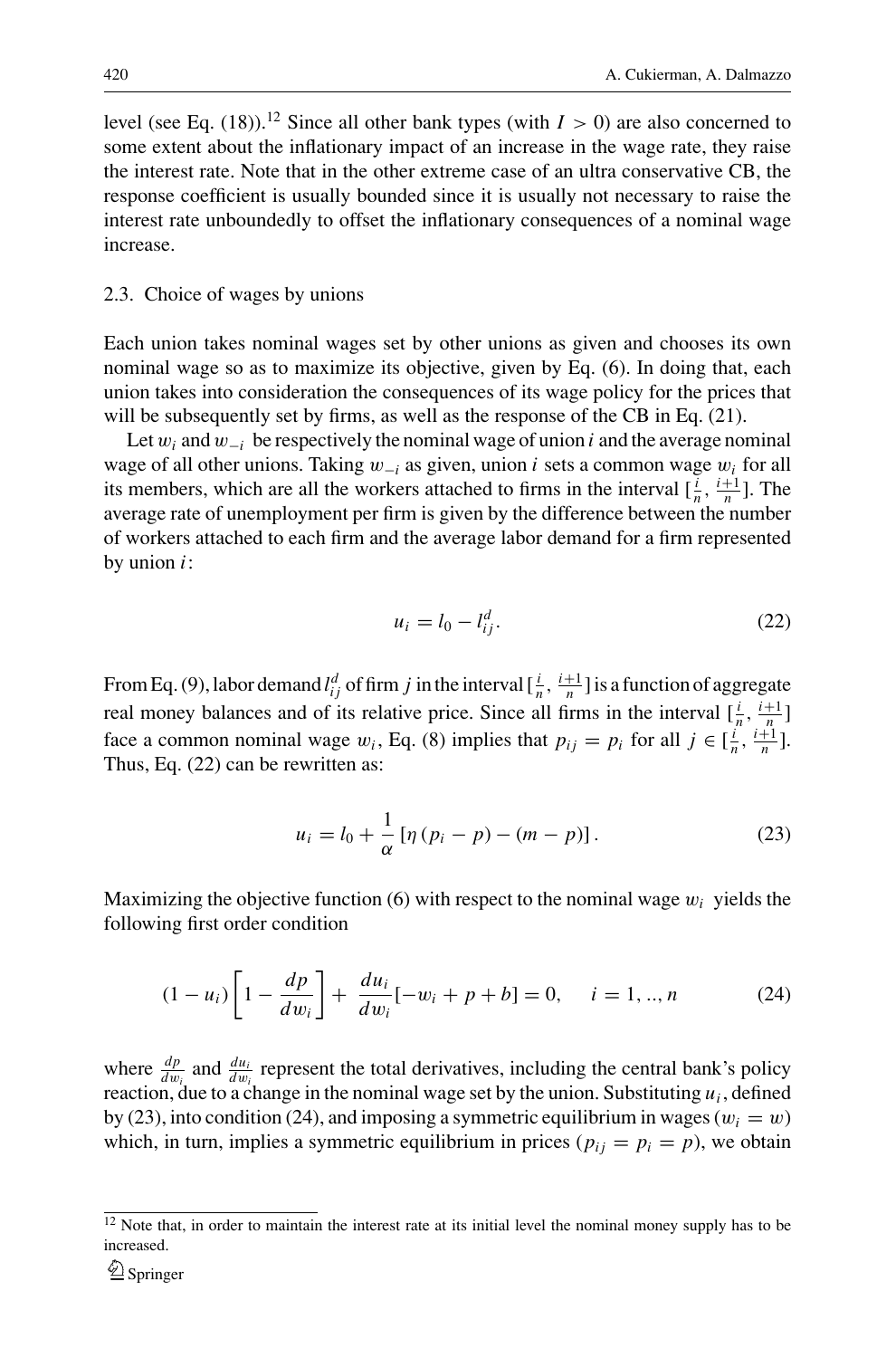level (see Eq. (18)).<sup>12</sup> Since all other bank types (with  $I > 0$ ) are also concerned to some extent about the inflationary impact of an increase in the wage rate, they raise the interest rate. Note that in the other extreme case of an ultra conservative CB, the response coefficient is usually bounded since it is usually not necessary to raise the interest rate unboundedly to offset the inflationary consequences of a nominal wage increase.

## 2.3. Choice of wages by unions

Each union takes nominal wages set by other unions as given and chooses its own nominal wage so as to maximize its objective, given by Eq. (6). In doing that, each union takes into consideration the consequences of its wage policy for the prices that will be subsequently set by firms, as well as the response of the CB in Eq.  $(21)$ .

Let w*<sup>i</sup>* and w<sup>−</sup>*<sup>i</sup>* be respectively the nominal wage of union *i* and the average nominal wage of all other unions. Taking w<sup>−</sup>*<sup>i</sup>* as given, union *i* sets a common wage w*<sup>i</sup>* for all its members, which are all the workers attached to firms in the interval  $\left[\frac{i}{n}, \frac{i+1}{n}\right]$ . The average rate of unemployment per firm is given by the difference between the number of workers attached to each firm and the average labor demand for a firm represented by union *i*:

$$
u_i = l_0 - l_{ij}^d. \tag{22}
$$

From Eq. (9), labor demand  $l_{ij}^d$  of firm *j* in the interval  $[\frac{i}{n}, \frac{i+1}{n}]$  is a function of aggregate real money balances and of its relative price. Since all firms in the interval  $\left[\frac{i}{n}, \frac{i+1}{n}\right]$ face a common nominal wage  $w_i$ , Eq. (8) implies that  $p_{ij} = p_i$  for all  $j \in [\frac{i}{n}, \frac{i+1}{n}]$ . Thus, Eq. (22) can be rewritten as:

$$
u_i = l_0 + \frac{1}{\alpha} [\eta (p_i - p) - (m - p)].
$$
 (23)

Maximizing the objective function  $(6)$  with respect to the nominal wage  $w_i$  yields the following first order condition

$$
(1 - u_i) \left[ 1 - \frac{dp}{dw_i} \right] + \frac{du_i}{dw_i} [-w_i + p + b] = 0, \quad i = 1, ..., n
$$
 (24)

where  $\frac{dp}{dw_i}$  and  $\frac{du_i}{dw_i}$  represent the total derivatives, including the central bank's policy reaction, due to a change in the nominal wage set by the union. Substituting  $u_i$ , defined by (23), into condition (24), and imposing a symmetric equilibrium in wages ( $w_i = w$ ) which, in turn, implies a symmetric equilibrium in prices ( $p_{ij} = p_i = p$ ), we obtain

<sup>&</sup>lt;sup>12</sup> Note that, in order to maintain the interest rate at its initial level the nominal money supply has to be increased.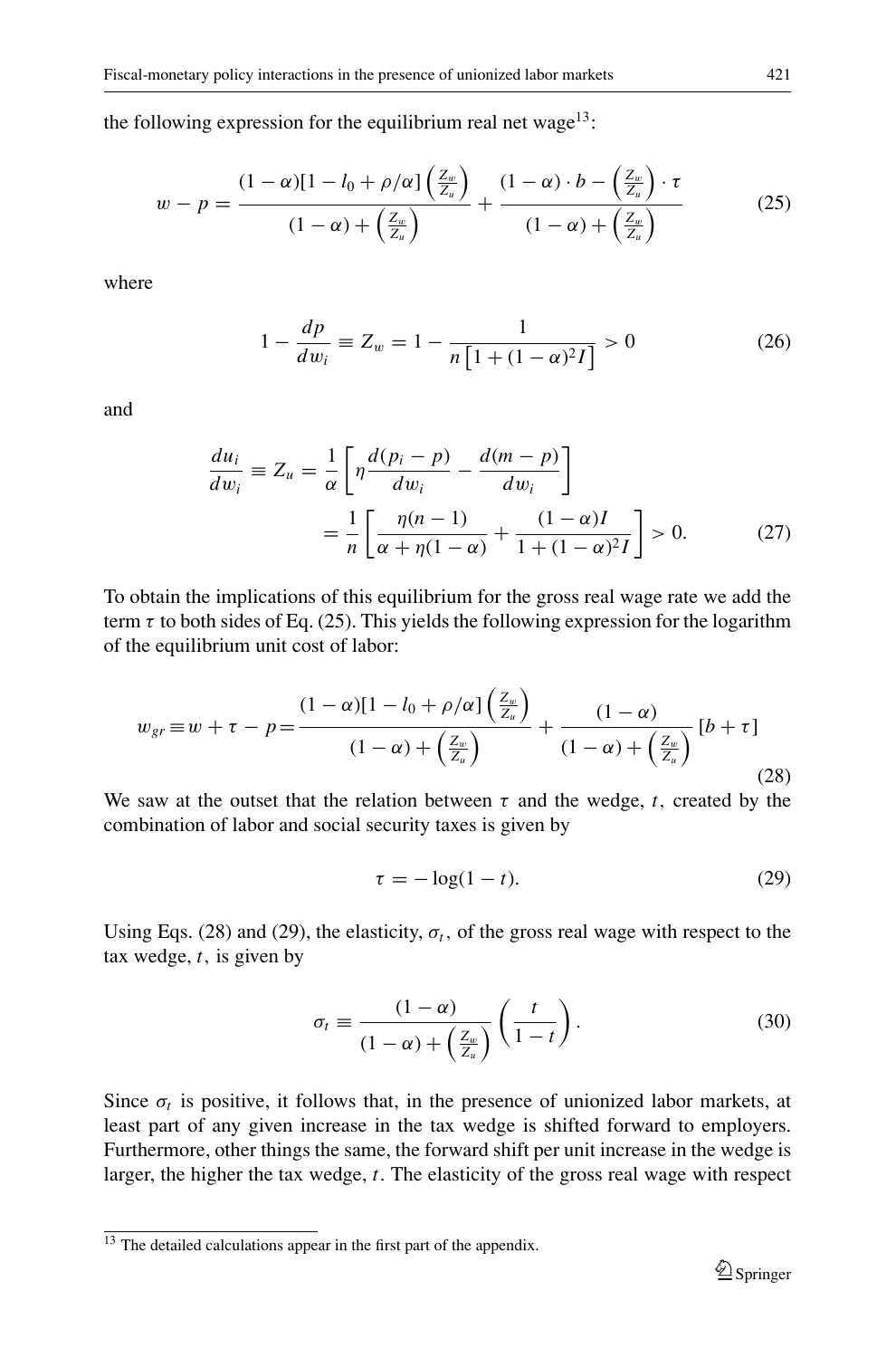the following expression for the equilibrium real net wage<sup>13</sup>:

$$
w - p = \frac{(1 - \alpha)[1 - l_0 + \rho/\alpha] \left(\frac{Z_w}{Z_u}\right)}{(1 - \alpha) + \left(\frac{Z_w}{Z_u}\right)} + \frac{(1 - \alpha) \cdot b - \left(\frac{Z_w}{Z_u}\right) \cdot \tau}{(1 - \alpha) + \left(\frac{Z_w}{Z_u}\right)}
$$
(25)

where

$$
1 - \frac{dp}{dw_i} \equiv Z_w = 1 - \frac{1}{n \left[ 1 + (1 - \alpha)^2 I \right]} > 0 \tag{26}
$$

and

$$
\frac{du_i}{dw_i} \equiv Z_u = \frac{1}{\alpha} \left[ \eta \frac{d(p_i - p)}{dw_i} - \frac{d(m - p)}{dw_i} \right]
$$

$$
= \frac{1}{n} \left[ \frac{\eta(n - 1)}{\alpha + \eta(1 - \alpha)} + \frac{(1 - \alpha)I}{1 + (1 - \alpha)^2 I} \right] > 0. \tag{27}
$$

To obtain the implications of this equilibrium for the gross real wage rate we add the term  $\tau$  to both sides of Eq. (25). This yields the following expression for the logarithm of the equilibrium unit cost of labor:

$$
w_{gr} \equiv w + \tau - p = \frac{(1 - \alpha)[1 - l_0 + \rho/\alpha] \left(\frac{Z_w}{Z_u}\right)}{(1 - \alpha) + \left(\frac{Z_w}{Z_u}\right)} + \frac{(1 - \alpha)}{(1 - \alpha) + \left(\frac{Z_w}{Z_u}\right)} \left[b + \tau\right]
$$
\n(28)

We saw at the outset that the relation between  $\tau$  and the wedge,  $t$ , created by the combination of labor and social security taxes is given by

$$
\tau = -\log(1 - t). \tag{29}
$$

Using Eqs. (28) and (29), the elasticity,  $\sigma_t$ , of the gross real wage with respect to the tax wedge, *t*, is given by

$$
\sigma_t \equiv \frac{(1-\alpha)}{(1-\alpha) + \left(\frac{Z_w}{Z_u}\right)} \left(\frac{t}{1-t}\right). \tag{30}
$$

Since  $\sigma_t$  is positive, it follows that, in the presence of unionized labor markets, at least part of any given increase in the tax wedge is shifted forward to employers. Furthermore, other things the same, the forward shift per unit increase in the wedge is larger, the higher the tax wedge, *t*. The elasticity of the gross real wage with respect

<sup>&</sup>lt;sup>13</sup> The detailed calculations appear in the first part of the appendix.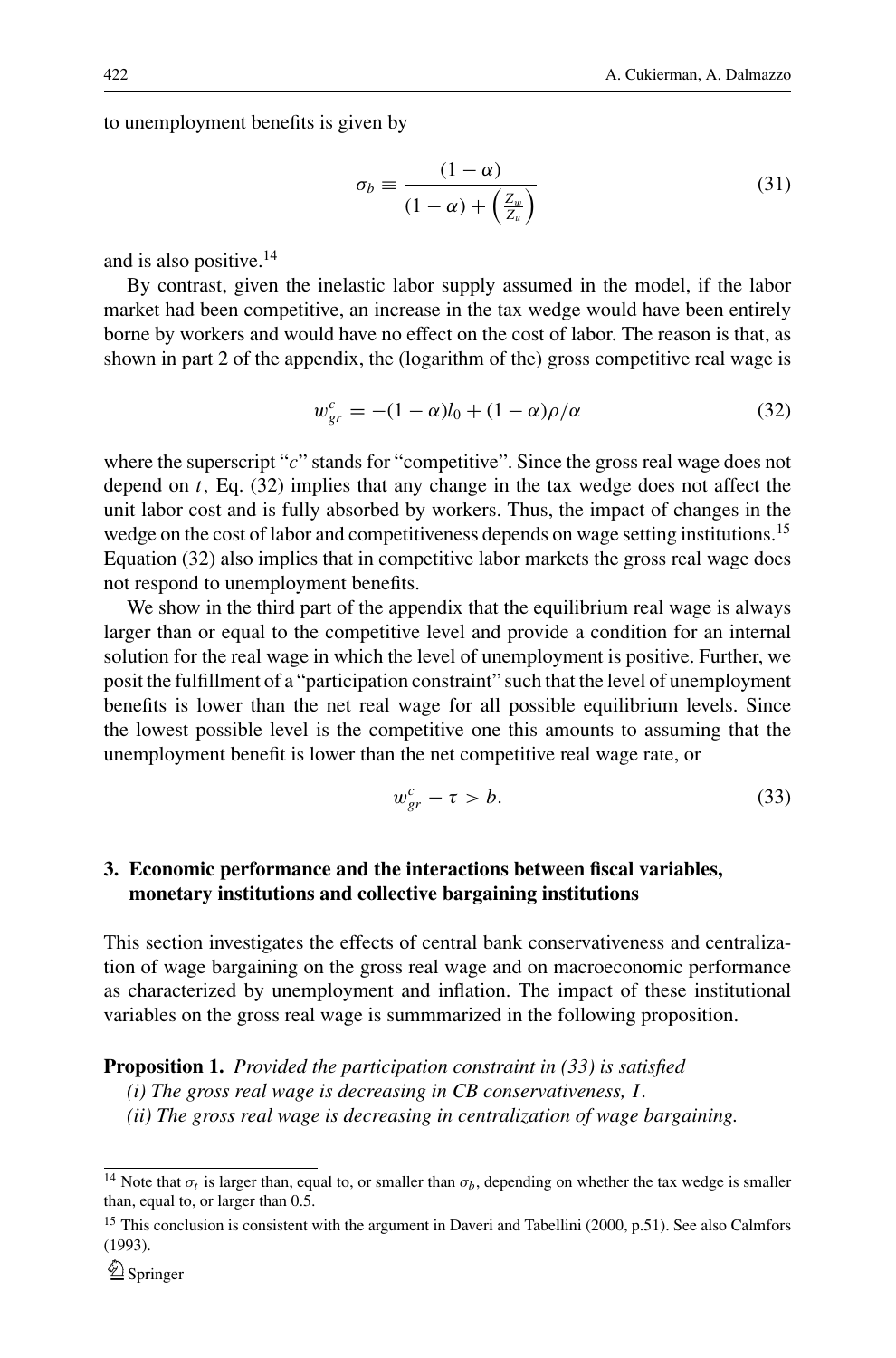to unemployment benefits is given by

$$
\sigma_b \equiv \frac{(1 - \alpha)}{(1 - \alpha) + \left(\frac{Z_w}{Z_u}\right)}\tag{31}
$$

and is also positive.<sup>14</sup>

By contrast, given the inelastic labor supply assumed in the model, if the labor market had been competitive, an increase in the tax wedge would have been entirely borne by workers and would have no effect on the cost of labor. The reason is that, as shown in part 2 of the appendix, the (logarithm of the) gross competitive real wage is

$$
w_{gr}^c = -(1 - \alpha)l_0 + (1 - \alpha)\rho/\alpha \tag{32}
$$

where the superscript "*c*" stands for "competitive". Since the gross real wage does not depend on *t*, Eq. (32) implies that any change in the tax wedge does not affect the unit labor cost and is fully absorbed by workers. Thus, the impact of changes in the wedge on the cost of labor and competitiveness depends on wage setting institutions.<sup>15</sup> Equation (32) also implies that in competitive labor markets the gross real wage does not respond to unemployment benefits.

We show in the third part of the appendix that the equilibrium real wage is always larger than or equal to the competitive level and provide a condition for an internal solution for the real wage in which the level of unemployment is positive. Further, we posit the fulfillment of a "participation constraint" such that the level of unemployment benefits is lower than the net real wage for all possible equilibrium levels. Since the lowest possible level is the competitive one this amounts to assuming that the unemployment benefit is lower than the net competitive real wage rate, or

$$
w_{gr}^c - \tau > b. \tag{33}
$$

# **3. Economic performance and the interactions between fiscal variables, monetary institutions and collective bargaining institutions**

This section investigates the effects of central bank conservativeness and centralization of wage bargaining on the gross real wage and on macroeconomic performance as characterized by unemployment and inflation. The impact of these institutional variables on the gross real wage is summmarized in the following proposition.

**Proposition 1.** *Provided the participation constraint in (33) is satisfied*

- *(i) The gross real wage is decreasing in CB conservativeness, I*.
- *(ii) The gross real wage is decreasing in centralization of wage bargaining.*

<sup>&</sup>lt;sup>14</sup> Note that  $\sigma_t$  is larger than, equal to, or smaller than  $\sigma_b$ , depending on whether the tax wedge is smaller than, equal to, or larger than 0.5.

<sup>&</sup>lt;sup>15</sup> This conclusion is consistent with the argument in Daveri and Tabellini (2000, p.51). See also Calmfors (1993).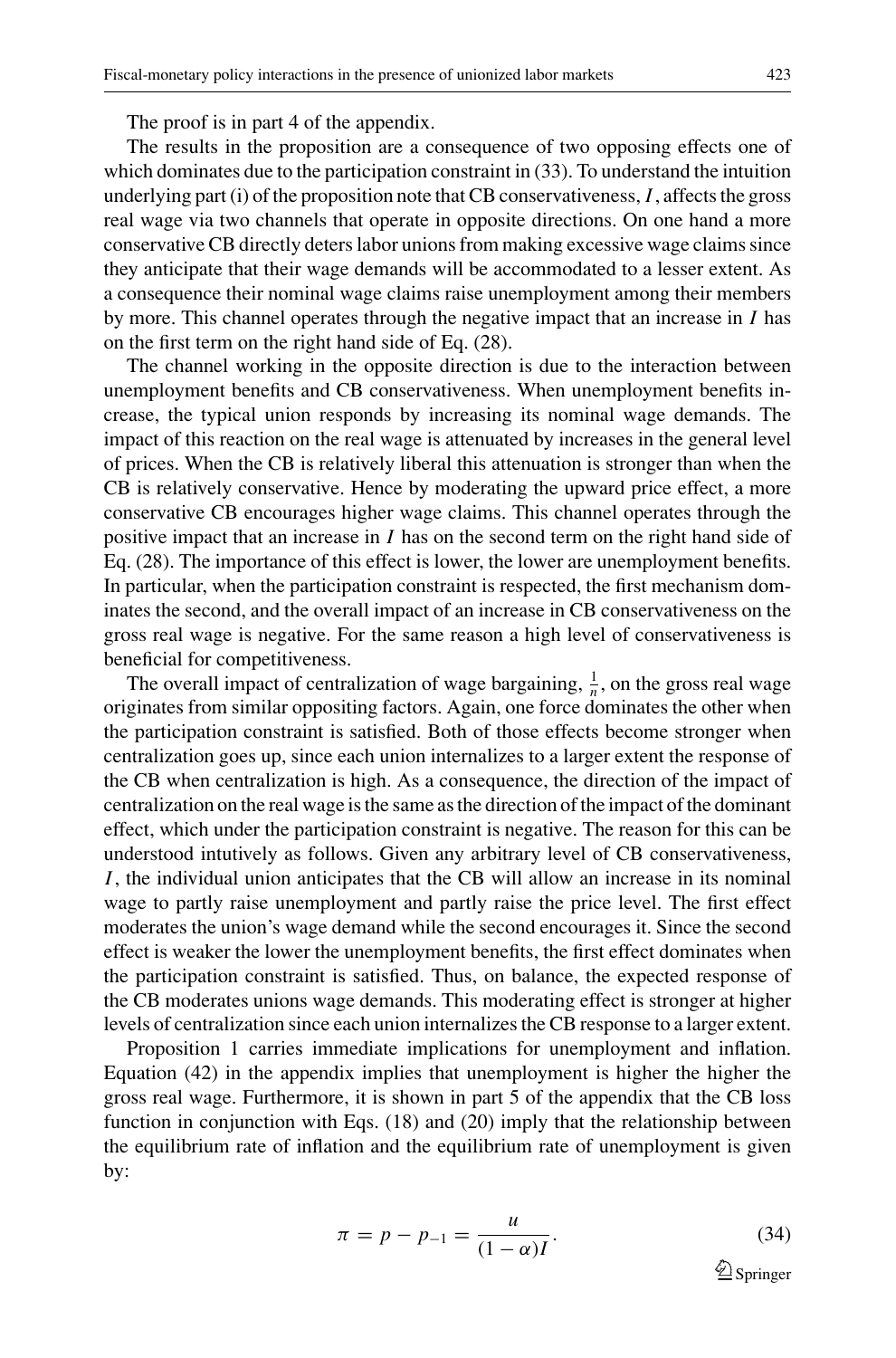The proof is in part 4 of the appendix.

The results in the proposition are a consequence of two opposing effects one of which dominates due to the participation constraint in (33). To understand the intuition underlying part (i) of the proposition note that CB conservativeness, *I*, affects the gross real wage via two channels that operate in opposite directions. On one hand a more conservative CB directly deters labor unions from making excessive wage claims since they anticipate that their wage demands will be accommodated to a lesser extent. As a consequence their nominal wage claims raise unemployment among their members by more. This channel operates through the negative impact that an increase in *I* has on the first term on the right hand side of Eq. (28).

The channel working in the opposite direction is due to the interaction between unemployment benefits and CB conservativeness. When unemployment benefits increase, the typical union responds by increasing its nominal wage demands. The impact of this reaction on the real wage is attenuated by increases in the general level of prices. When the CB is relatively liberal this attenuation is stronger than when the CB is relatively conservative. Hence by moderating the upward price effect, a more conservative CB encourages higher wage claims. This channel operates through the positive impact that an increase in *I* has on the second term on the right hand side of Eq. (28). The importance of this effect is lower, the lower are unemployment benefits. In particular, when the participation constraint is respected, the first mechanism dominates the second, and the overall impact of an increase in CB conservativeness on the gross real wage is negative. For the same reason a high level of conservativeness is beneficial for competitiveness.

The overall impact of centralization of wage bargaining,  $\frac{1}{n}$ , on the gross real wage originates from similar oppositing factors. Again, one force dominates the other when the participation constraint is satisfied. Both of those effects become stronger when centralization goes up, since each union internalizes to a larger extent the response of the CB when centralization is high. As a consequence, the direction of the impact of centralization on the real wage is the same as the direction of the impact of the dominant effect, which under the participation constraint is negative. The reason for this can be understood intutively as follows. Given any arbitrary level of CB conservativeness, *I*, the individual union anticipates that the CB will allow an increase in its nominal wage to partly raise unemployment and partly raise the price level. The first effect moderates the union's wage demand while the second encourages it. Since the second effect is weaker the lower the unemployment benefits, the first effect dominates when the participation constraint is satisfied. Thus, on balance, the expected response of the CB moderates unions wage demands. This moderating effect is stronger at higher levels of centralization since each union internalizes the CB response to a larger extent.

Proposition 1 carries immediate implications for unemployment and inflation. Equation (42) in the appendix implies that unemployment is higher the higher the gross real wage. Furthermore, it is shown in part 5 of the appendix that the CB loss function in conjunction with Eqs. (18) and (20) imply that the relationship between the equilibrium rate of inflation and the equilibrium rate of unemployment is given by:

$$
\pi = p - p_{-1} = \frac{u}{(1 - \alpha)I}.
$$
\n(34)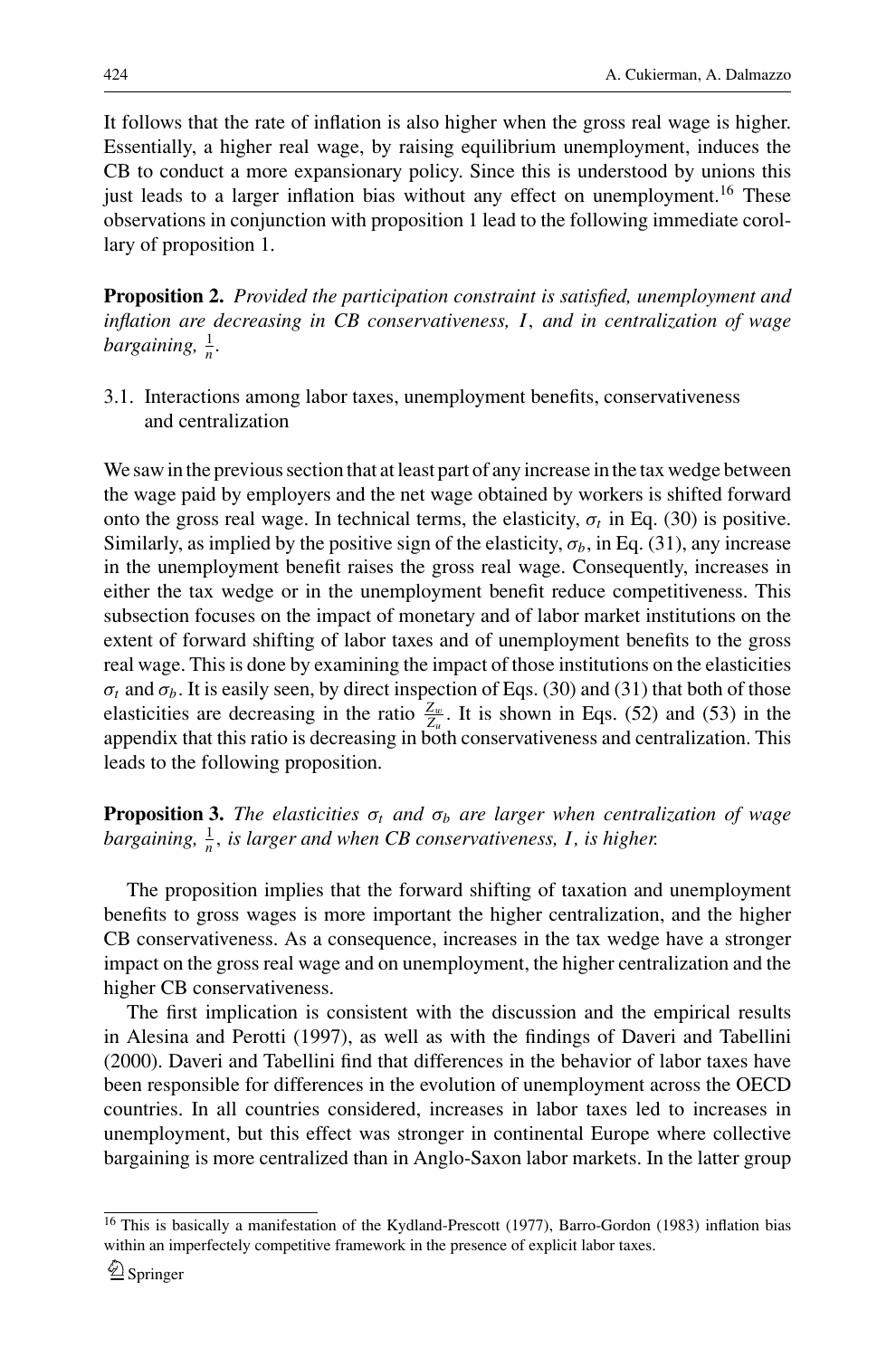It follows that the rate of inflation is also higher when the gross real wage is higher. Essentially, a higher real wage, by raising equilibrium unemployment, induces the CB to conduct a more expansionary policy. Since this is understood by unions this just leads to a larger inflation bias without any effect on unemployment.<sup>16</sup> These observations in conjunction with proposition 1 lead to the following immediate corollary of proposition 1.

**Proposition 2.** *Provided the participation constraint is satisfied, unemployment and inflation are decreasing in CB conservativeness, I*, *and in centralization of wage*  $bargaining, \frac{1}{n}$ .

3.1. Interactions among labor taxes, unemployment benefits, conservativeness and centralization

We saw in the previous section that at least part of any increase in the tax wedge between the wage paid by employers and the net wage obtained by workers is shifted forward onto the gross real wage. In technical terms, the elasticity,  $\sigma_t$  in Eq. (30) is positive. Similarly, as implied by the positive sign of the elasticity,  $\sigma_b$ , in Eq. (31), any increase in the unemployment benefit raises the gross real wage. Consequently, increases in either the tax wedge or in the unemployment benefit reduce competitiveness. This subsection focuses on the impact of monetary and of labor market institutions on the extent of forward shifting of labor taxes and of unemployment benefits to the gross real wage. This is done by examining the impact of those institutions on the elasticities  $\sigma_t$  and  $\sigma_b$ . It is easily seen, by direct inspection of Eqs. (30) and (31) that both of those elasticities are decreasing in the ratio  $\frac{Z_w}{Z_u}$ . It is shown in Eqs. (52) and (53) in the appendix that this ratio is decreasing in both conservativeness and centralization. This leads to the following proposition.

**Proposition 3.** *The elasticities*  $\sigma_t$  *and*  $\sigma_b$  *are larger when centralization of wage* bargaining,  $\frac{1}{n}$ , is larger and when CB conservativeness, I, is higher.

The proposition implies that the forward shifting of taxation and unemployment benefits to gross wages is more important the higher centralization, and the higher CB conservativeness. As a consequence, increases in the tax wedge have a stronger impact on the gross real wage and on unemployment, the higher centralization and the higher CB conservativeness.

The first implication is consistent with the discussion and the empirical results in Alesina and Perotti (1997), as well as with the findings of Daveri and Tabellini (2000). Daveri and Tabellini find that differences in the behavior of labor taxes have been responsible for differences in the evolution of unemployment across the OECD countries. In all countries considered, increases in labor taxes led to increases in unemployment, but this effect was stronger in continental Europe where collective bargaining is more centralized than in Anglo-Saxon labor markets. In the latter group

<sup>&</sup>lt;sup>16</sup> This is basically a manifestation of the Kydland-Prescott (1977), Barro-Gordon (1983) inflation bias within an imperfectely competitive framework in the presence of explicit labor taxes.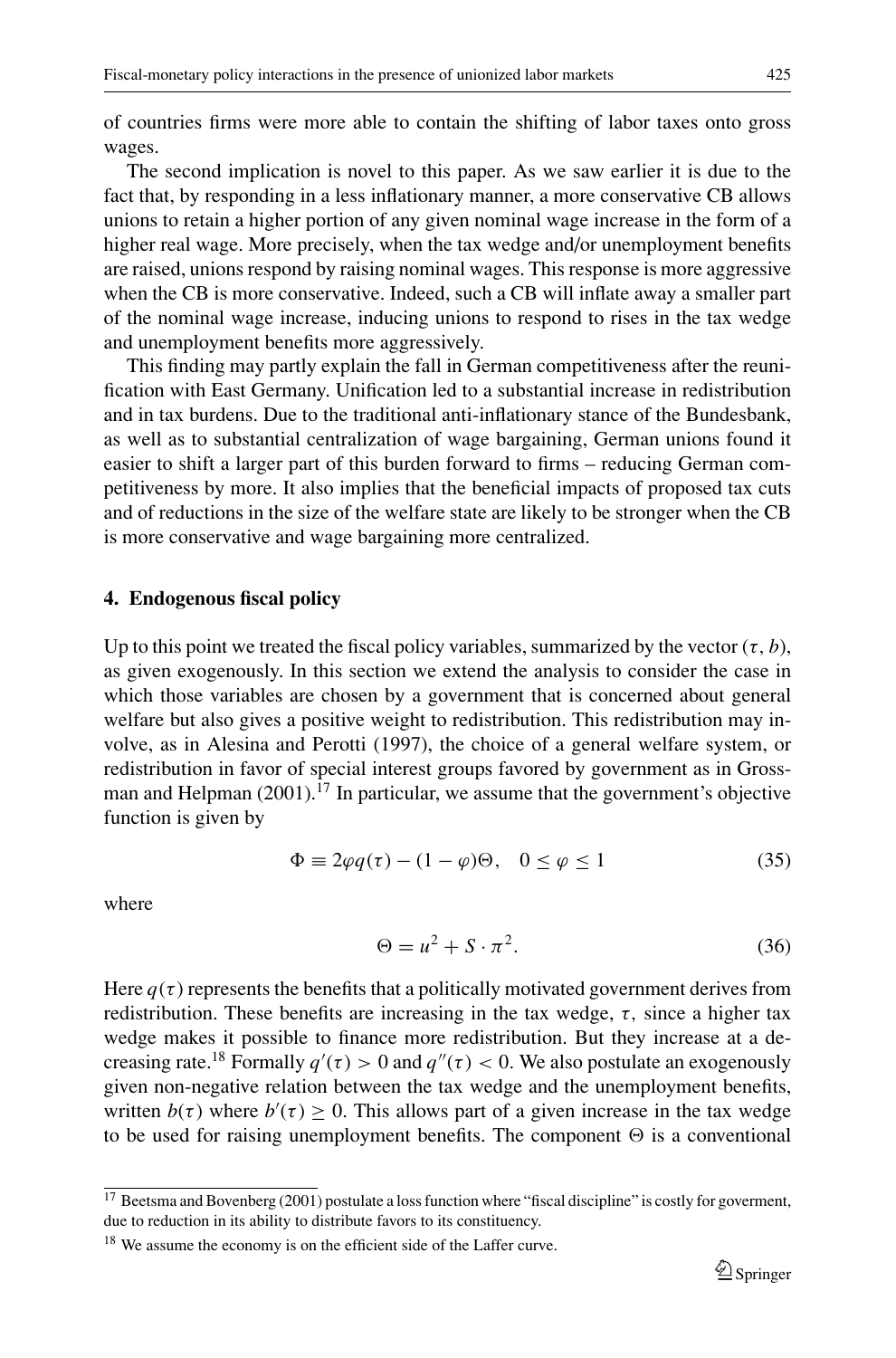of countries firms were more able to contain the shifting of labor taxes onto gross wages.

The second implication is novel to this paper. As we saw earlier it is due to the fact that, by responding in a less inflationary manner, a more conservative CB allows unions to retain a higher portion of any given nominal wage increase in the form of a higher real wage. More precisely, when the tax wedge and/or unemployment benefits are raised, unions respond by raising nominal wages. This response is more aggressive when the CB is more conservative. Indeed, such a CB will inflate away a smaller part of the nominal wage increase, inducing unions to respond to rises in the tax wedge and unemployment benefits more aggressively.

This finding may partly explain the fall in German competitiveness after the reunification with East Germany. Unification led to a substantial increase in redistribution and in tax burdens. Due to the traditional anti-inflationary stance of the Bundesbank, as well as to substantial centralization of wage bargaining, German unions found it easier to shift a larger part of this burden forward to firms – reducing German competitiveness by more. It also implies that the beneficial impacts of proposed tax cuts and of reductions in the size of the welfare state are likely to be stronger when the CB is more conservative and wage bargaining more centralized.

#### **4. Endogenous fiscal policy**

Up to this point we treated the fiscal policy variables, summarized by the vector  $(\tau, b)$ , as given exogenously. In this section we extend the analysis to consider the case in which those variables are chosen by a government that is concerned about general welfare but also gives a positive weight to redistribution. This redistribution may involve, as in Alesina and Perotti (1997), the choice of a general welfare system, or redistribution in favor of special interest groups favored by government as in Grossman and Helpman  $(2001)$ .<sup>17</sup> In particular, we assume that the government's objective function is given by

$$
\Phi \equiv 2\varphi q(\tau) - (1 - \varphi)\Theta, \quad 0 \le \varphi \le 1 \tag{35}
$$

where

$$
\Theta = u^2 + S \cdot \pi^2. \tag{36}
$$

Here  $q(\tau)$  represents the benefits that a politically motivated government derives from redistribution. These benefits are increasing in the tax wedge,  $\tau$ , since a higher tax wedge makes it possible to finance more redistribution. But they increase at a decreasing rate.<sup>18</sup> Formally  $q'(\tau) > 0$  and  $q''(\tau) < 0$ . We also postulate an exogenously given non-negative relation between the tax wedge and the unemployment benefits, written  $b(\tau)$  where  $b'(\tau) \ge 0$ . This allows part of a given increase in the tax wedge to be used for raising unemployment benefits. The component  $\Theta$  is a conventional

<sup>&</sup>lt;sup>17</sup> Beetsma and Bovenberg (2001) postulate a loss function where "fiscal discipline" is costly for goverment, due to reduction in its ability to distribute favors to its constituency.

<sup>&</sup>lt;sup>18</sup> We assume the economy is on the efficient side of the Laffer curve.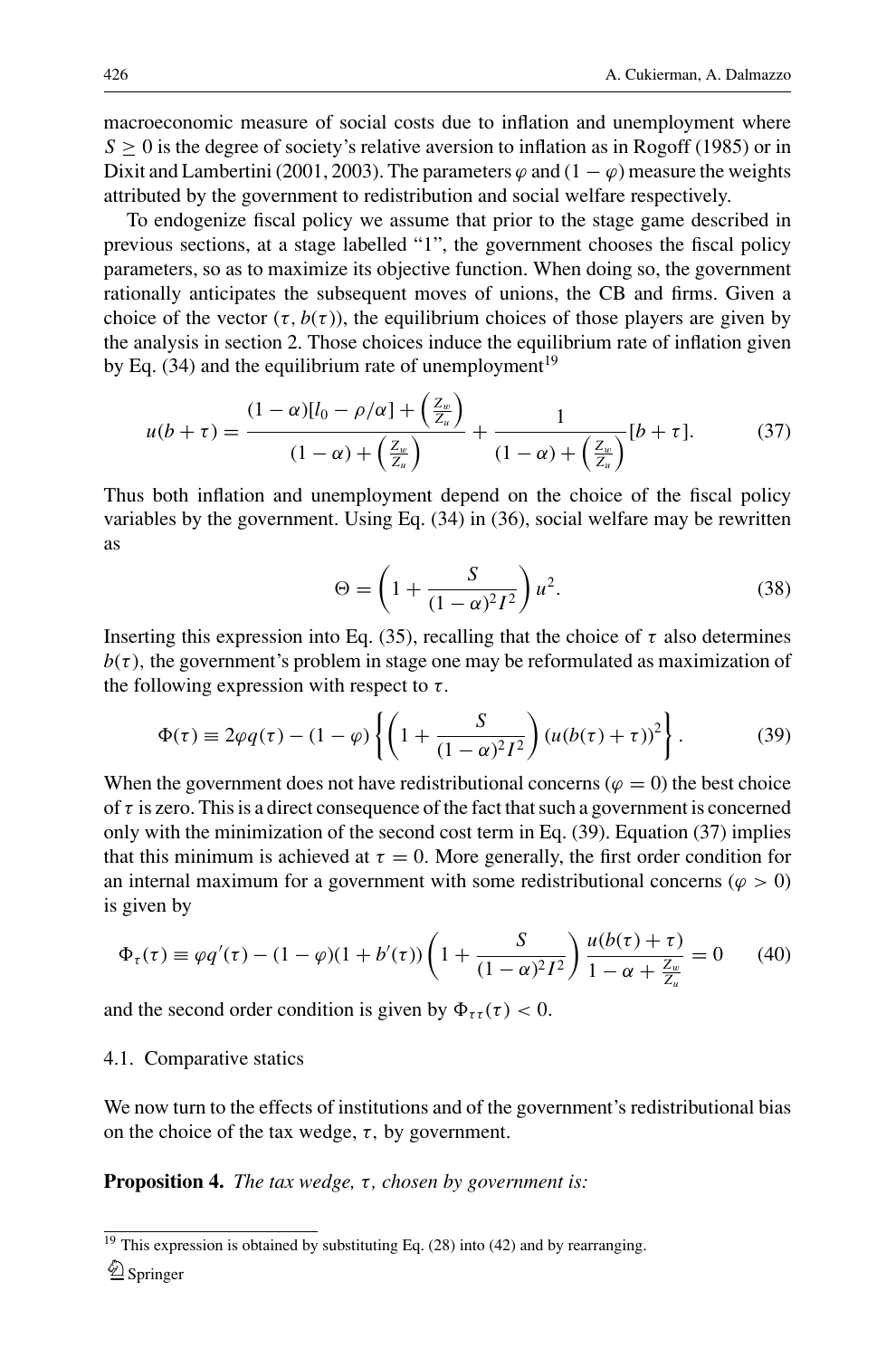macroeconomic measure of social costs due to inflation and unemployment where  $S > 0$  is the degree of society's relative aversion to inflation as in Rogoff (1985) or in Dixit and Lambertini (2001, 2003). The parameters  $\varphi$  and  $(1 - \varphi)$  measure the weights attributed by the government to redistribution and social welfare respectively.

To endogenize fiscal policy we assume that prior to the stage game described in previous sections, at a stage labelled "1", the government chooses the fiscal policy parameters, so as to maximize its objective function. When doing so, the government rationally anticipates the subsequent moves of unions, the CB and firms. Given a choice of the vector  $(\tau, b(\tau))$ , the equilibrium choices of those players are given by the analysis in section 2. Those choices induce the equilibrium rate of inflation given by Eq.  $(34)$  and the equilibrium rate of unemployment<sup>19</sup>

$$
u(b+\tau) = \frac{(1-\alpha)[l_0-\rho/\alpha] + \left(\frac{Z_w}{Z_u}\right)}{(1-\alpha) + \left(\frac{Z_w}{Z_u}\right)} + \frac{1}{(1-\alpha) + \left(\frac{Z_w}{Z_u}\right)}[b+\tau].\tag{37}
$$

Thus both inflation and unemployment depend on the choice of the fiscal policy variables by the government. Using Eq. (34) in (36), social welfare may be rewritten as

$$
\Theta = \left(1 + \frac{S}{(1 - \alpha)^2 I^2}\right) u^2. \tag{38}
$$

Inserting this expression into Eq. (35), recalling that the choice of  $\tau$  also determines  $b(\tau)$ , the government's problem in stage one may be reformulated as maximization of the following expression with respect to  $\tau$ .

$$
\Phi(\tau) \equiv 2\varphi q(\tau) - (1 - \varphi) \left\{ \left( 1 + \frac{S}{(1 - \alpha)^2 I^2} \right) (u(b(\tau) + \tau))^2 \right\}.
$$
 (39)

When the government does not have redistributional concerns ( $\varphi = 0$ ) the best choice of  $\tau$  is zero. This is a direct consequence of the fact that such a government is concerned only with the minimization of the second cost term in Eq. (39). Equation (37) implies that this minimum is achieved at  $\tau = 0$ . More generally, the first order condition for an internal maximum for a government with some redistributional concerns ( $\varphi > 0$ ) is given by

$$
\Phi_{\tau}(\tau) \equiv \varphi q'(\tau) - (1 - \varphi)(1 + b'(\tau)) \left( 1 + \frac{S}{(1 - \alpha)^2 I^2} \right) \frac{u(b(\tau) + \tau)}{1 - \alpha + \frac{Z_w}{Z_u}} = 0 \tag{40}
$$

and the second order condition is given by  $\Phi_{\tau\tau}(\tau) < 0$ .

#### 4.1. Comparative statics

We now turn to the effects of institutions and of the government's redistributional bias on the choice of the tax wedge,  $\tau$ , by government.

**Proposition 4.** *The tax wedge,* τ, *chosen by government is:* 

<sup>&</sup>lt;sup>19</sup> This expression is obtained by substituting Eq. (28) into (42) and by rearranging.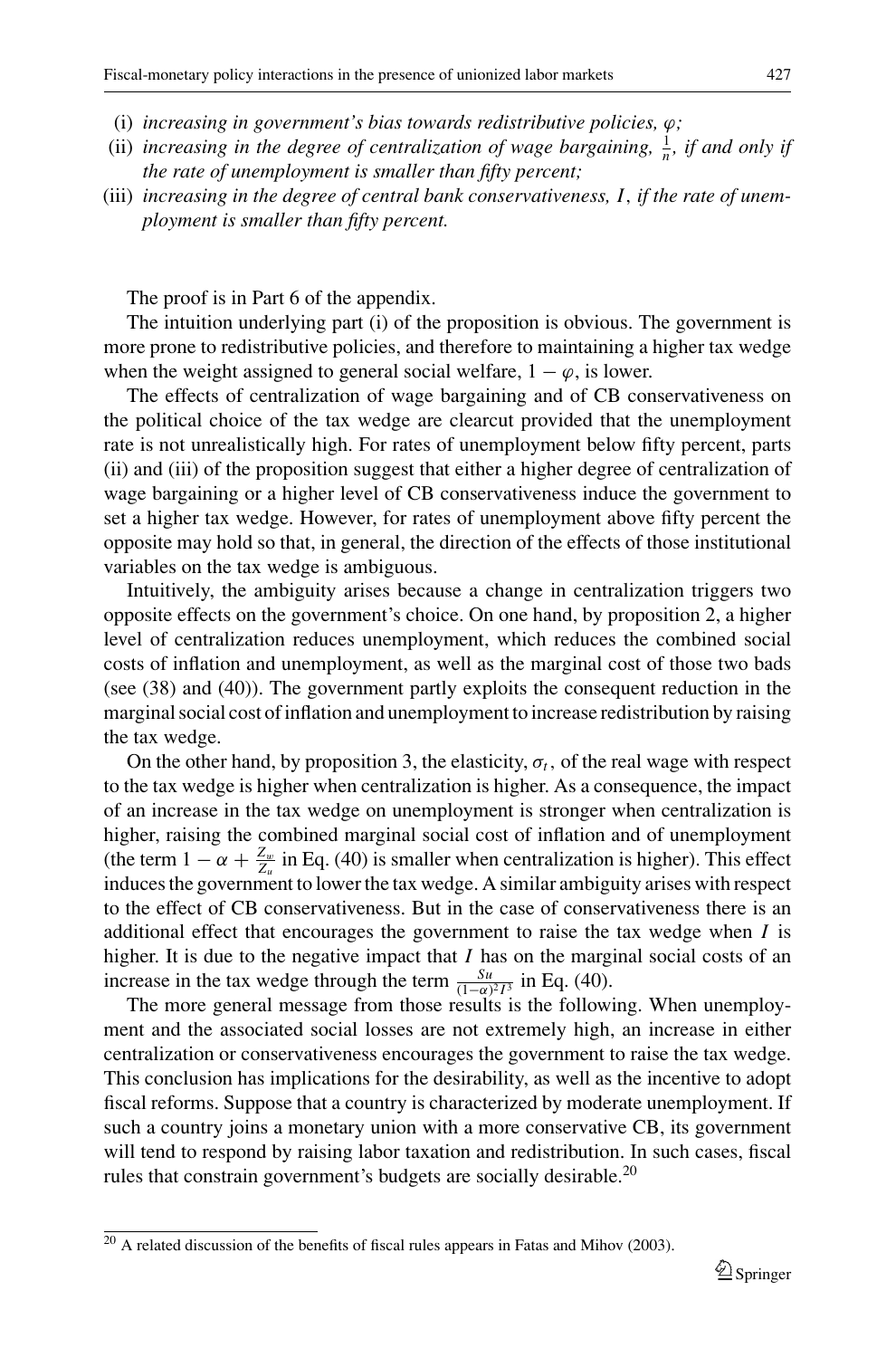- (i) *increasing in government's bias towards redistributive policies,*  $\varphi$ *;*
- (ii) *increasing in the degree of centralization of wage bargaining,*  $\frac{1}{n}$ *, if and only if the rate of unemployment is smaller than fifty percent;*
- (iii) *increasing in the degree of central bank conservativeness, I*, *if the rate of unemployment is smaller than fifty percent.*

The proof is in Part 6 of the appendix.

The intuition underlying part (i) of the proposition is obvious. The government is more prone to redistributive policies, and therefore to maintaining a higher tax wedge when the weight assigned to general social welfare,  $1 - \varphi$ , is lower.

The effects of centralization of wage bargaining and of CB conservativeness on the political choice of the tax wedge are clearcut provided that the unemployment rate is not unrealistically high. For rates of unemployment below fifty percent, parts (ii) and (iii) of the proposition suggest that either a higher degree of centralization of wage bargaining or a higher level of CB conservativeness induce the government to set a higher tax wedge. However, for rates of unemployment above fifty percent the opposite may hold so that, in general, the direction of the effects of those institutional variables on the tax wedge is ambiguous.

Intuitively, the ambiguity arises because a change in centralization triggers two opposite effects on the government's choice. On one hand, by proposition 2, a higher level of centralization reduces unemployment, which reduces the combined social costs of inflation and unemployment, as well as the marginal cost of those two bads (see (38) and (40)). The government partly exploits the consequent reduction in the marginal social cost of inflation and unemployment to increase redistribution by raising the tax wedge.

On the other hand, by proposition 3, the elasticity,  $\sigma_t$ , of the real wage with respect to the tax wedge is higher when centralization is higher. As a consequence, the impact of an increase in the tax wedge on unemployment is stronger when centralization is higher, raising the combined marginal social cost of inflation and of unemployment (the term  $1 - \alpha + \frac{Z_w}{Z_u}$  in Eq. (40) is smaller when centralization is higher). This effect induces the government to lower the tax wedge. A similar ambiguity arises with respect to the effect of CB conservativeness. But in the case of conservativeness there is an additional effect that encourages the government to raise the tax wedge when *I* is higher. It is due to the negative impact that *I* has on the marginal social costs of an increase in the tax wedge through the term  $\frac{S_u}{(1-\alpha)^2 I^3}$  in Eq. (40).

The more general message from those results is the following. When unemployment and the associated social losses are not extremely high, an increase in either centralization or conservativeness encourages the government to raise the tax wedge. This conclusion has implications for the desirability, as well as the incentive to adopt fiscal reforms. Suppose that a country is characterized by moderate unemployment. If such a country joins a monetary union with a more conservative CB, its government will tend to respond by raising labor taxation and redistribution. In such cases, fiscal rules that constrain government's budgets are socially desirable.<sup>20</sup>

 $\overline{20}$  A related discussion of the benefits of fiscal rules appears in Fatas and Mihov (2003).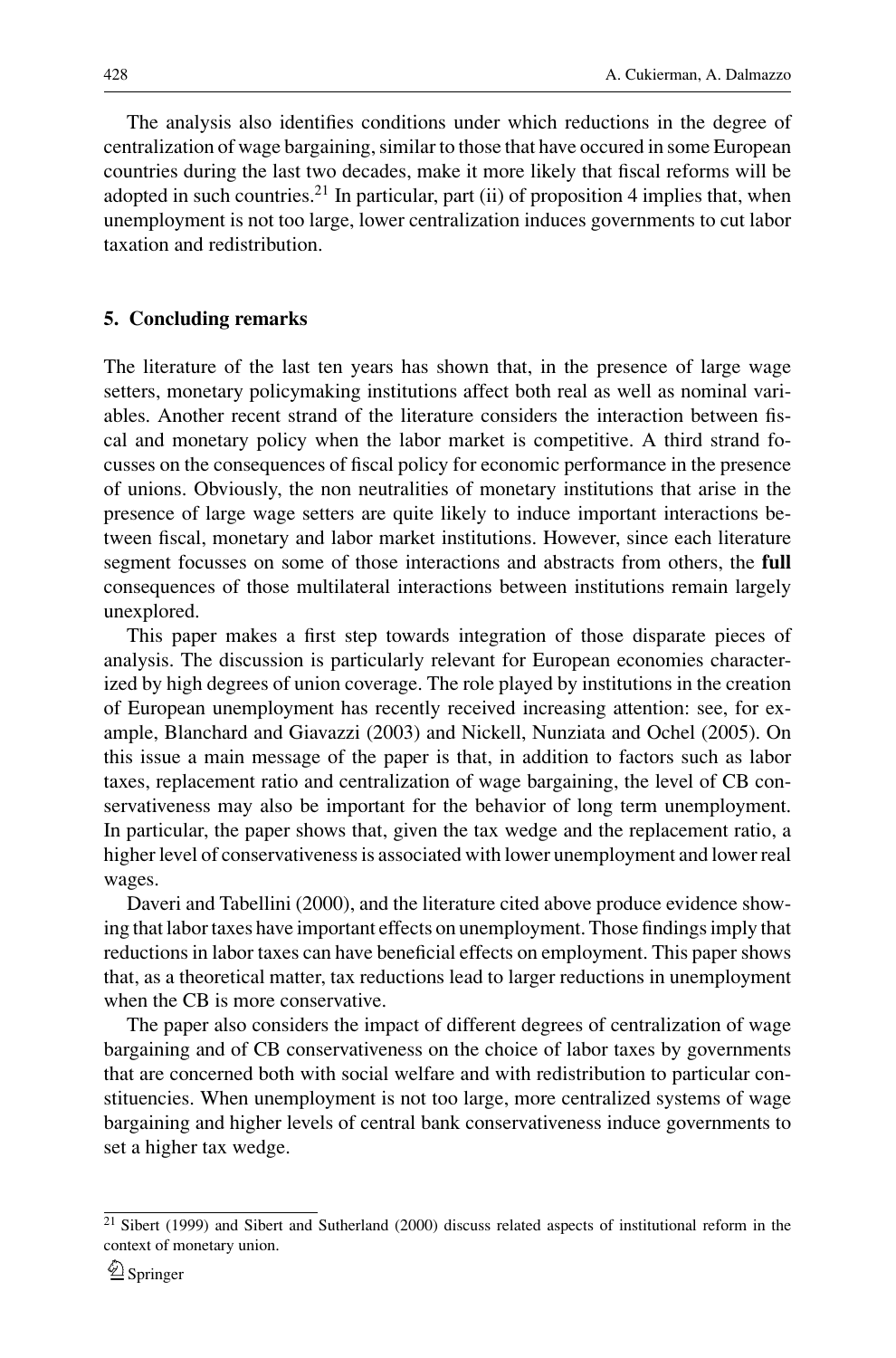The analysis also identifies conditions under which reductions in the degree of centralization of wage bargaining, similar to those that have occured in some European countries during the last two decades, make it more likely that fiscal reforms will be adopted in such countries.<sup>21</sup> In particular, part (ii) of proposition 4 implies that, when unemployment is not too large, lower centralization induces governments to cut labor taxation and redistribution.

## **5. Concluding remarks**

The literature of the last ten years has shown that, in the presence of large wage setters, monetary policymaking institutions affect both real as well as nominal variables. Another recent strand of the literature considers the interaction between fiscal and monetary policy when the labor market is competitive. A third strand focusses on the consequences of fiscal policy for economic performance in the presence of unions. Obviously, the non neutralities of monetary institutions that arise in the presence of large wage setters are quite likely to induce important interactions between fiscal, monetary and labor market institutions. However, since each literature segment focusses on some of those interactions and abstracts from others, the **full** consequences of those multilateral interactions between institutions remain largely unexplored.

This paper makes a first step towards integration of those disparate pieces of analysis. The discussion is particularly relevant for European economies characterized by high degrees of union coverage. The role played by institutions in the creation of European unemployment has recently received increasing attention: see, for example, Blanchard and Giavazzi (2003) and Nickell, Nunziata and Ochel (2005). On this issue a main message of the paper is that, in addition to factors such as labor taxes, replacement ratio and centralization of wage bargaining, the level of CB conservativeness may also be important for the behavior of long term unemployment. In particular, the paper shows that, given the tax wedge and the replacement ratio, a higher level of conservativeness is associated with lower unemployment and lower real wages.

Daveri and Tabellini (2000), and the literature cited above produce evidence showing that labor taxes have important effects on unemployment. Those findings imply that reductions in labor taxes can have beneficial effects on employment. This paper shows that, as a theoretical matter, tax reductions lead to larger reductions in unemployment when the CB is more conservative.

The paper also considers the impact of different degrees of centralization of wage bargaining and of CB conservativeness on the choice of labor taxes by governments that are concerned both with social welfare and with redistribution to particular constituencies. When unemployment is not too large, more centralized systems of wage bargaining and higher levels of central bank conservativeness induce governments to set a higher tax wedge.

<sup>21</sup> Sibert (1999) and Sibert and Sutherland (2000) discuss related aspects of institutional reform in the context of monetary union.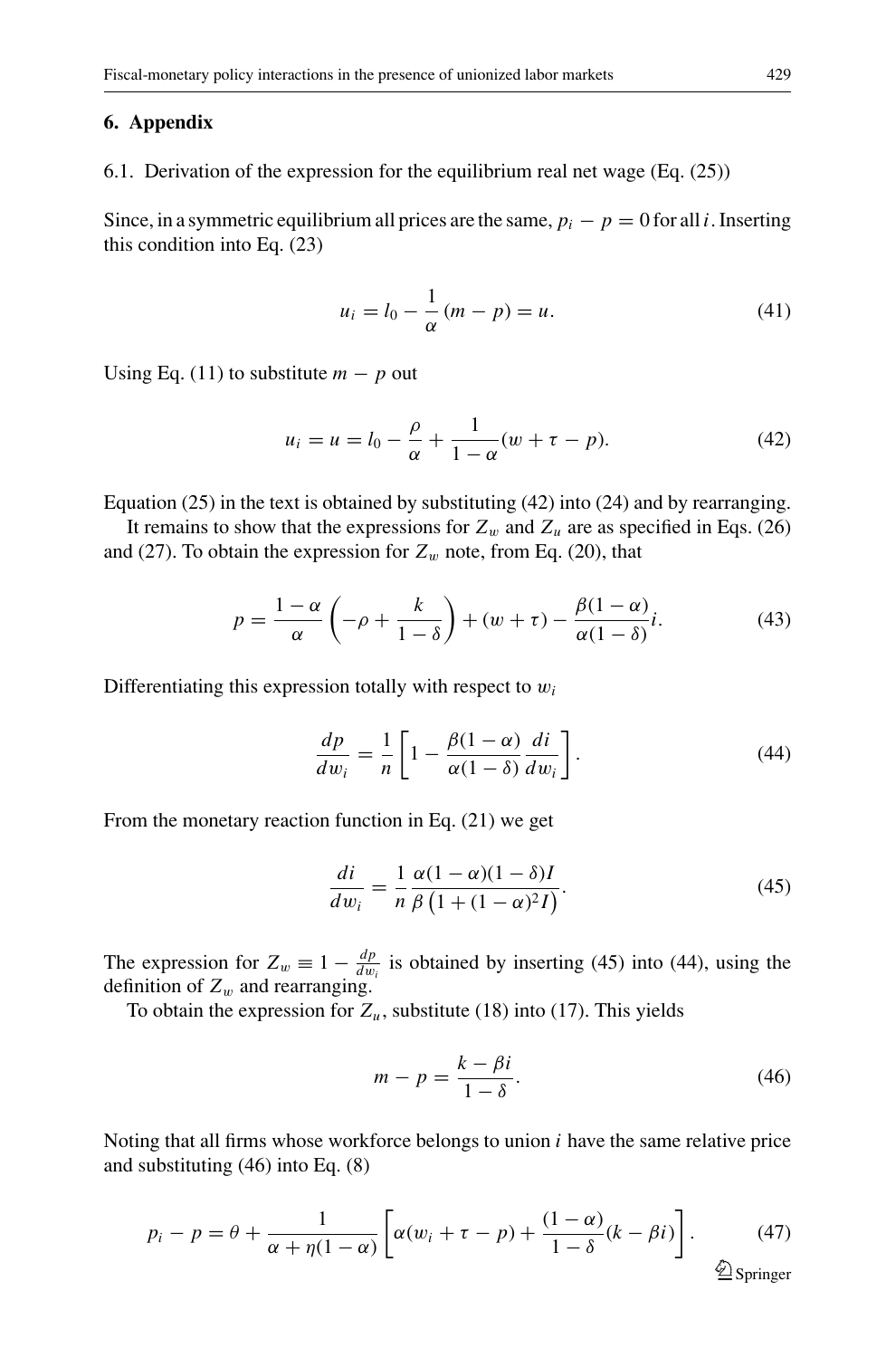#### **6. Appendix**

6.1. Derivation of the expression for the equilibrium real net wage (Eq. (25))

Since, in a symmetric equilibrium all prices are the same,  $p_i - p = 0$  for all *i*. Inserting this condition into Eq. (23)

$$
u_i = l_0 - \frac{1}{\alpha} (m - p) = u.
$$
 (41)

Using Eq. (11) to substitute  $m - p$  out

$$
u_i = u = l_0 - \frac{\rho}{\alpha} + \frac{1}{1 - \alpha}(w + \tau - p).
$$
 (42)

Equation  $(25)$  in the text is obtained by substituting  $(42)$  into  $(24)$  and by rearranging.

It remains to show that the expressions for  $Z_w$  and  $Z_u$  are as specified in Eqs. (26) and (27). To obtain the expression for  $Z_w$  note, from Eq. (20), that

$$
p = \frac{1 - \alpha}{\alpha} \left( -\rho + \frac{k}{1 - \delta} \right) + (w + \tau) - \frac{\beta(1 - \alpha)}{\alpha(1 - \delta)} i.
$$
 (43)

Differentiating this expression totally with respect to w*<sup>i</sup>*

$$
\frac{dp}{dw_i} = \frac{1}{n} \left[ 1 - \frac{\beta(1-\alpha)}{\alpha(1-\delta)} \frac{di}{dw_i} \right].
$$
\n(44)

From the monetary reaction function in Eq. (21) we get

$$
\frac{di}{dw_i} = \frac{1}{n} \frac{\alpha (1 - \alpha)(1 - \delta)I}{\beta (1 + (1 - \alpha)^2 I)}.
$$
(45)

The expression for  $Z_w \equiv 1 - \frac{dp}{dw_i}$  is obtained by inserting (45) into (44), using the definition of  $Z_w$  and rearranging.

To obtain the expression for  $Z_u$ , substitute (18) into (17). This yields

$$
m - p = \frac{k - \beta i}{1 - \delta}.
$$
\n(46)

Noting that all firms whose workforce belongs to union *i* have the same relative price and substituting (46) into Eq. (8)

$$
p_i - p = \theta + \frac{1}{\alpha + \eta(1 - \alpha)} \left[ \alpha(w_i + \tau - p) + \frac{(1 - \alpha)}{1 - \delta} (k - \beta i) \right].
$$
 (47)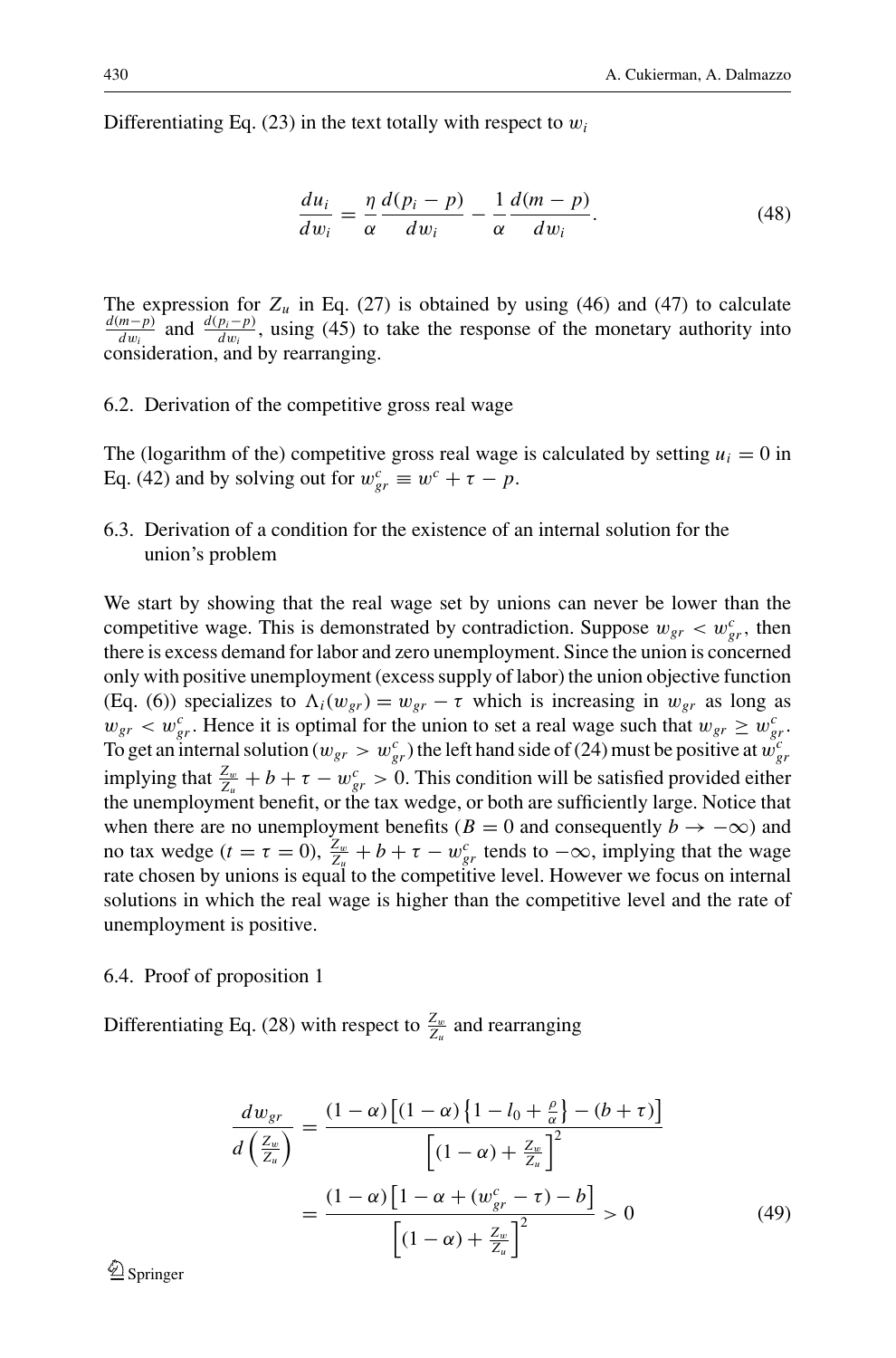Differentiating Eq.  $(23)$  in the text totally with respect to  $w_i$ 

$$
\frac{du_i}{dw_i} = \frac{\eta}{\alpha} \frac{d(p_i - p)}{dw_i} - \frac{1}{\alpha} \frac{d(m - p)}{dw_i}.
$$
 (48)

The expression for  $Z_u$  in Eq. (27) is obtained by using (46) and (47) to calculate  $\frac{d(m-p)}{dw_i}$  and  $\frac{d(p_i-p)}{dw_i}$ , using (45) to take the response of the monetary authority into consideration, and by rearranging.

6.2. Derivation of the competitive gross real wage

The (logarithm of the) competitive gross real wage is calculated by setting  $u_i = 0$  in Eq. (42) and by solving out for  $w_{gr}^c \equiv w^c + \tau - p$ .

6.3. Derivation of a condition for the existence of an internal solution for the union's problem

We start by showing that the real wage set by unions can never be lower than the competitive wage. This is demonstrated by contradiction. Suppose  $w_{gr} < w_{gr}^c$ , then there is excess demand for labor and zero unemployment. Since the union is concerned only with positive unemployment (excess supply of labor) the union objective function (Eq. (6)) specializes to  $\Lambda_i(w_{gr}) = w_{gr} - \tau$  which is increasing in  $w_{gr}$  as long as  $w_{gr} < w_{gr}^c$ . Hence it is optimal for the union to set a real wage such that  $w_{gr} \geq w_{gr}^c$ . To get an internal solution ( $w_{gr} > w_{gr}^c$ ) the left hand side of (24) must be positive at  $w_{gr}^c$ implying that  $\frac{Z_w}{Z_u} + b + \tau - w_{gr}^c > 0$ . This condition will be satisfied provided either the unemployment benefit, or the tax wedge, or both are sufficiently large. Notice that when there are no unemployment benefits ( $B = 0$  and consequently  $b \rightarrow -\infty$ ) and no tax wedge  $(t = \tau = 0)$ ,  $\frac{Z_w}{Z_u} + b + \tau - w_g^c$  tends to  $-\infty$ , implying that the wage rate chosen by unions is equal to the competitive level. However we focus on internal solutions in which the real wage is higher than the competitive level and the rate of unemployment is positive.

#### 6.4. Proof of proposition 1

Differentiating Eq. (28) with respect to  $\frac{Z_w}{Z_u}$  and rearranging

$$
\frac{dw_{gr}}{d\left(\frac{Z_w}{Z_u}\right)} = \frac{(1-\alpha)\left[(1-\alpha)\left\{1-l_0+\frac{\rho}{\alpha}\right\}-(b+\tau)\right]}{\left[(1-\alpha)+\frac{Z_w}{Z_u}\right]^2}
$$

$$
= \frac{(1-\alpha)\left[1-\alpha+(w_{gr}^c-\tau)-b\right]}{\left[(1-\alpha)+\frac{Z_w}{Z_u}\right]^2} > 0 \tag{49}
$$

 $\bigcirc$  Springer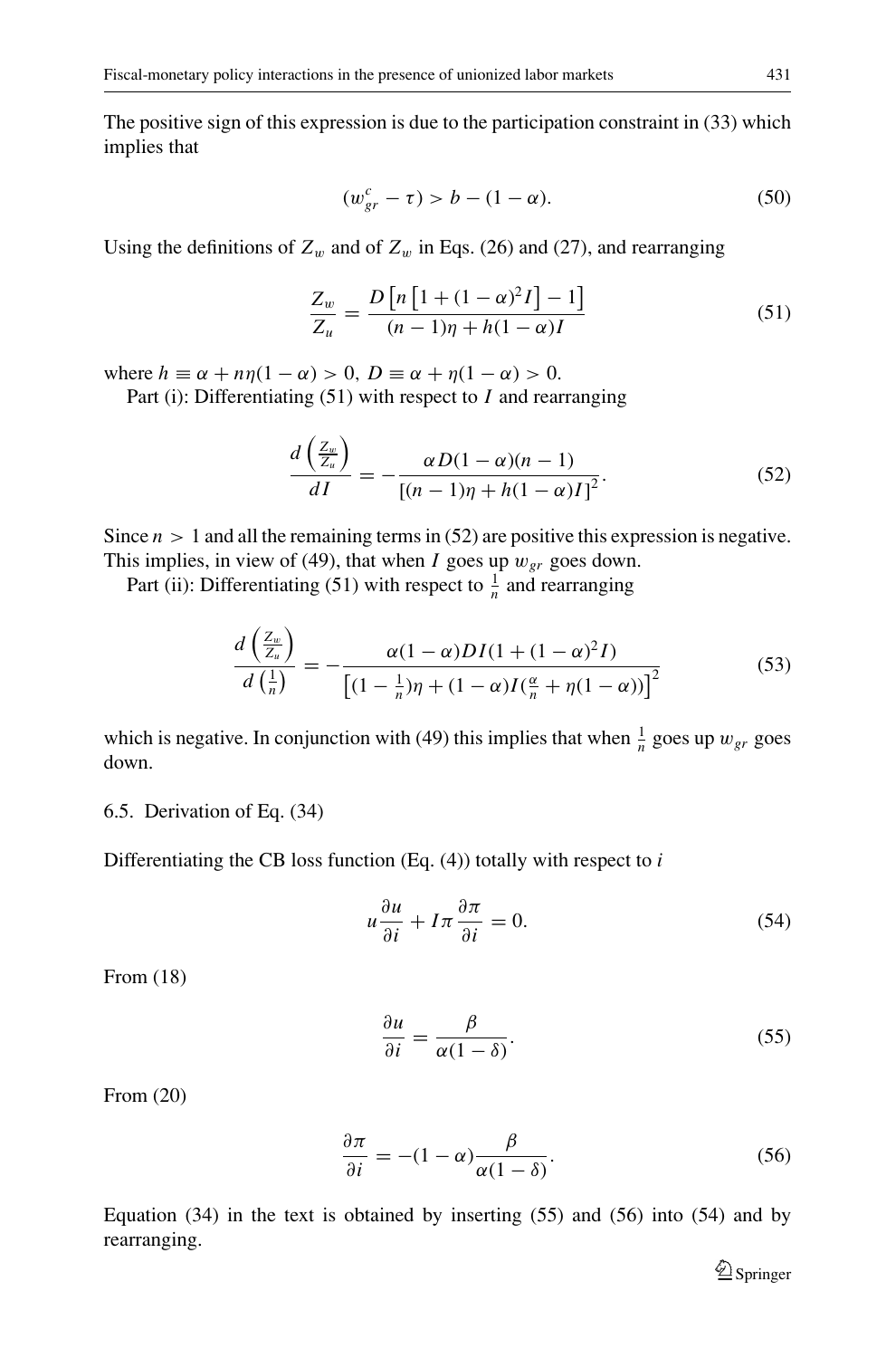The positive sign of this expression is due to the participation constraint in (33) which implies that

$$
(w_{gr}^c - \tau) > b - (1 - \alpha). \tag{50}
$$

Using the definitions of  $Z_w$  and of  $Z_w$  in Eqs. (26) and (27), and rearranging

$$
\frac{Z_w}{Z_u} = \frac{D\left[n\left[1 + (1 - \alpha)^2 I\right] - 1\right]}{(n - 1)\eta + h(1 - \alpha)I}
$$
(51)

where  $h \equiv \alpha + n\eta(1 - \alpha) > 0$ ,  $D \equiv \alpha + \eta(1 - \alpha) > 0$ .

Part (i): Differentiating (51) with respect to *I* and rearranging

$$
\frac{d\left(\frac{Z_w}{Z_u}\right)}{dI} = -\frac{\alpha D(1-\alpha)(n-1)}{\left[(n-1)\eta + h(1-\alpha)I\right]^2}.
$$
\n(52)

Since  $n > 1$  and all the remaining terms in (52) are positive this expression is negative. This implies, in view of (49), that when *I* goes up  $w_{gr}$  goes down.

Part (ii): Differentiating (51) with respect to  $\frac{1}{n}$  and rearranging

$$
\frac{d\left(\frac{Z_w}{Z_u}\right)}{d\left(\frac{1}{n}\right)} = -\frac{\alpha(1-\alpha)DI(1+(1-\alpha)^2I)}{\left[(1-\frac{1}{n})\eta+(1-\alpha)I(\frac{\alpha}{n}+\eta(1-\alpha))\right]^2}
$$
(53)

which is negative. In conjunction with (49) this implies that when  $\frac{1}{n}$  goes up  $w_{gr}$  goes down.

#### 6.5. Derivation of Eq. (34)

Differentiating the CB loss function (Eq. (4)) totally with respect to *i*

$$
u\frac{\partial u}{\partial i} + I\pi \frac{\partial \pi}{\partial i} = 0.
$$
 (54)

From (18)

$$
\frac{\partial u}{\partial i} = \frac{\beta}{\alpha(1-\delta)}.\tag{55}
$$

From (20)

$$
\frac{\partial \pi}{\partial i} = -(1 - \alpha) \frac{\beta}{\alpha (1 - \delta)}.
$$
\n(56)

Equation  $(34)$  in the text is obtained by inserting  $(55)$  and  $(56)$  into  $(54)$  and by rearranging.

 $\mathcal{Q}_{\text{Springer}}$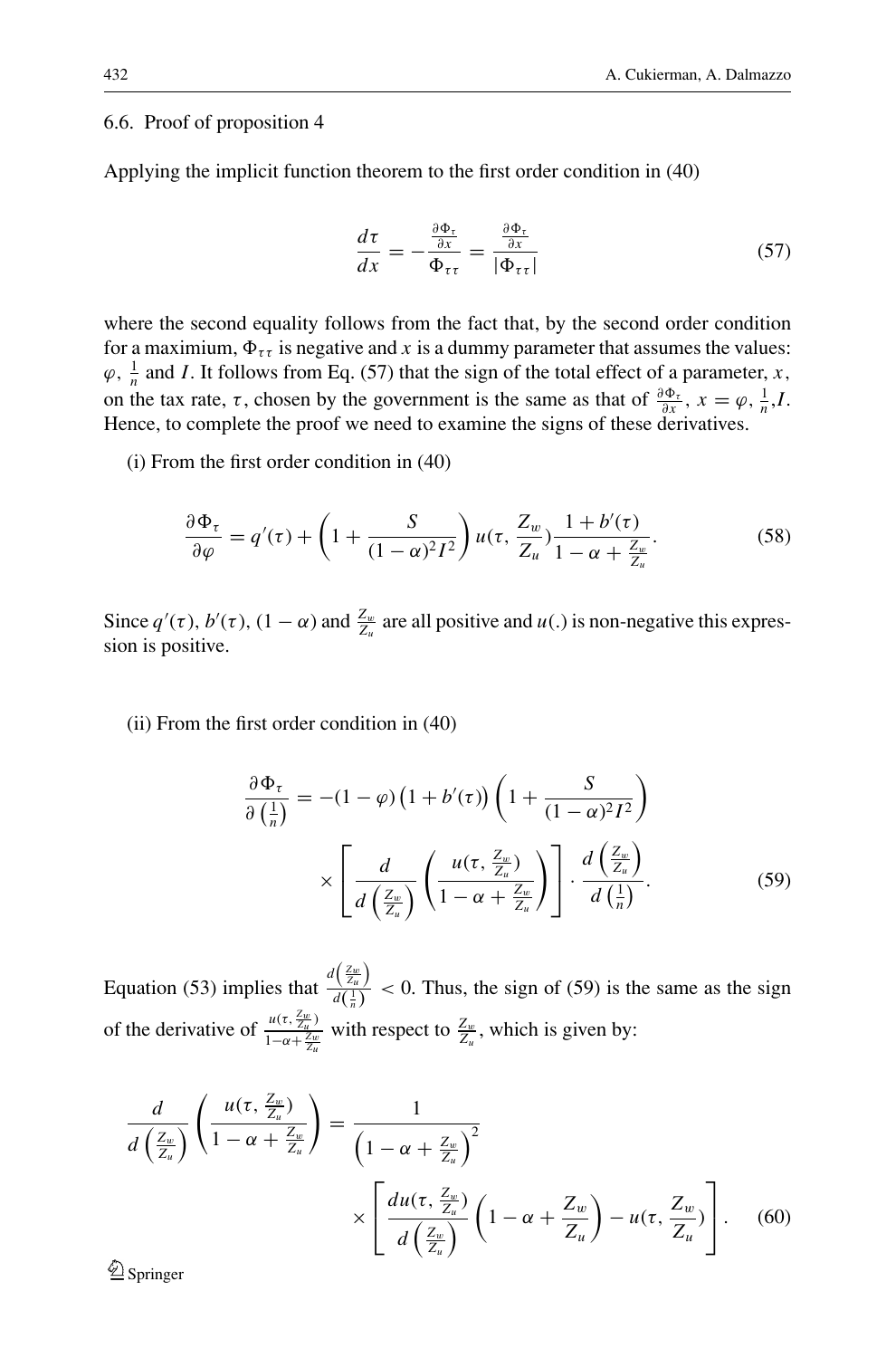#### 6.6. Proof of proposition 4

Applying the implicit function theorem to the first order condition in (40)

$$
\frac{d\tau}{dx} = -\frac{\frac{\partial \Phi_{\tau}}{\partial x}}{\Phi_{\tau\tau}} = \frac{\frac{\partial \Phi_{\tau}}{\partial x}}{|\Phi_{\tau\tau}|}\tag{57}
$$

where the second equality follows from the fact that, by the second order condition for a maximium,  $\Phi_{\tau\tau}$  is negative and *x* is a dummy parameter that assumes the values:  $\varphi$ ,  $\frac{1}{n}$  and *I*. It follows from Eq. (57) that the sign of the total effect of a parameter, *x*, on the tax rate,  $\tau$ , chosen by the government is the same as that of  $\frac{\partial \Phi_{\tau}}{\partial x}$ ,  $x = \varphi, \frac{1}{n}, I$ . Hence, to complete the proof we need to examine the signs of these derivatives.

(i) From the first order condition in (40)

$$
\frac{\partial \Phi_{\tau}}{\partial \varphi} = q'(\tau) + \left(1 + \frac{S}{(1-\alpha)^2 I^2}\right) u(\tau, \frac{Z_w}{Z_u}) \frac{1 + b'(\tau)}{1 - \alpha + \frac{Z_w}{Z_u}}.\tag{58}
$$

Since  $q'(\tau)$ ,  $b'(\tau)$ ,  $(1 - \alpha)$  and  $\frac{Z_w}{Z_u}$  are all positive and  $u(.)$  is non-negative this expression is positive.

(ii) From the first order condition in (40)

$$
\frac{\partial \Phi_{\tau}}{\partial \left(\frac{1}{n}\right)} = -(1 - \varphi) \left(1 + b'(\tau)\right) \left(1 + \frac{S}{(1 - \alpha)^2 I^2}\right)
$$

$$
\times \left[ \frac{d}{d \left(\frac{Z_w}{Z_u}\right)} \left(\frac{u(\tau, \frac{Z_w}{Z_u})}{1 - \alpha + \frac{Z_w}{Z_u}}\right) \right] \cdot \frac{d\left(\frac{Z_w}{Z_u}\right)}{d\left(\frac{1}{n}\right)}.
$$
(59)

Equation (53) implies that  $\frac{d\left(\frac{Z_w}{Z_u}\right)}{d\left(\frac{1}{Z}\right)}$  $\frac{\sqrt{2u}}{d\left(\frac{1}{n}\right)}$  < 0. Thus, the sign of (59) is the same as the sign of the derivative of  $\frac{u(\tau, \frac{Z_w}{Z_u})}{1 - \alpha + \frac{Z_u}{Z_u}}$  $\frac{u(\tau, \overline{z_u})}{1-\alpha+\frac{Z_w}{Z_u}}$  with respect to  $\frac{Z_w}{Z_u}$ , which is given by:

$$
\frac{d}{d\left(\frac{Z_w}{Z_u}\right)}\left(\frac{u(\tau,\frac{Z_w}{Z_u})}{1-\alpha+\frac{Z_w}{Z_u}}\right) = \frac{1}{\left(1-\alpha+\frac{Z_w}{Z_u}\right)^2}
$$
\n
$$
\times \left[\frac{du(\tau,\frac{Z_w}{Z_u})}{d\left(\frac{Z_w}{Z_u}\right)}\left(1-\alpha+\frac{Z_w}{Z_u}\right) - u(\tau,\frac{Z_w}{Z_u})\right].\tag{60}
$$

 $\bigcirc$  Springer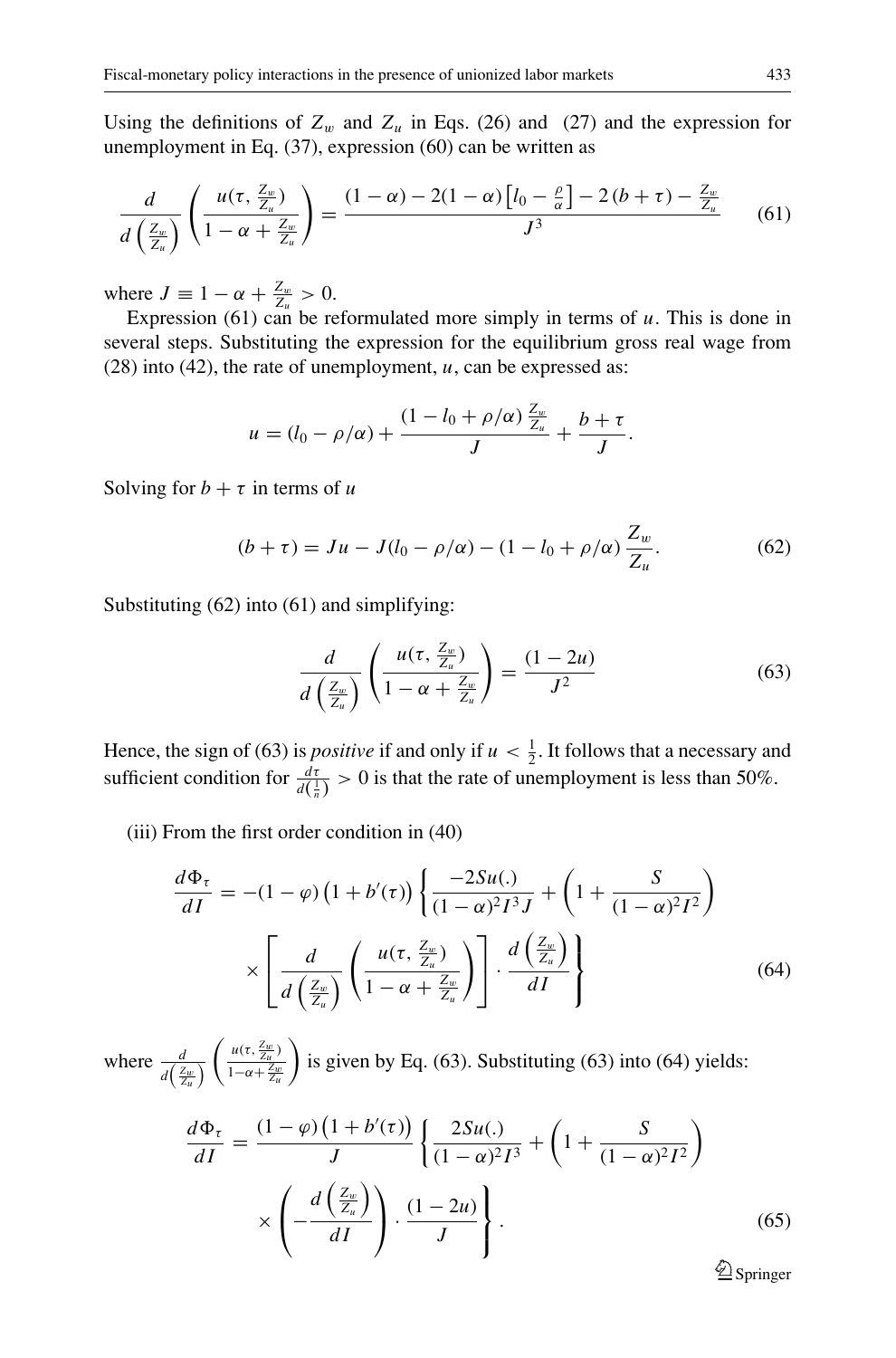Using the definitions of  $Z_w$  and  $Z_u$  in Eqs. (26) and (27) and the expression for unemployment in Eq. (37), expression (60) can be written as

$$
\frac{d}{d\left(\frac{Z_w}{Z_u}\right)}\left(\frac{u(\tau,\frac{Z_w}{Z_u})}{1-\alpha+\frac{Z_w}{Z_u}}\right)=\frac{(1-\alpha)-2(1-\alpha)\left[l_0-\frac{\rho}{\alpha}\right]-2(b+\tau)-\frac{Z_w}{Z_u}}{J^3}\tag{61}
$$

where  $J \equiv 1 - \alpha + \frac{Z_w}{Z_u} > 0$ .

Expression (61) can be reformulated more simply in terms of  $u$ . This is done in several steps. Substituting the expression for the equilibrium gross real wage from (28) into (42), the rate of unemployment, *u*, can be expressed as:

$$
u=(l_0-\rho/\alpha)+\frac{(1-l_0+\rho/\alpha)\frac{Z_w}{Z_u}}{J}+\frac{b+\tau}{J}.
$$

Solving for  $b + \tau$  in terms of *u* 

$$
(b + \tau) = Ju - J(l_0 - \rho/\alpha) - (1 - l_0 + \rho/\alpha) \frac{Z_w}{Z_u}.
$$
 (62)

Substituting (62) into (61) and simplifying:

$$
\frac{d}{d\left(\frac{Z_w}{Z_u}\right)}\left(\frac{u(\tau,\frac{Z_w}{Z_u})}{1-\alpha+\frac{Z_w}{Z_u}}\right) = \frac{(1-2u)}{J^2} \tag{63}
$$

Hence, the sign of (63) is *positive* if and only if  $u < \frac{1}{2}$ . It follows that a necessary and sufficient condition for  $\frac{d\tau}{d(\frac{1}{n})} > 0$  is that the rate of unemployment is less than 50%.

(iii) From the first order condition in (40)

$$
\frac{d\Phi_{\tau}}{dI} = -(1 - \varphi) \left( 1 + b'(\tau) \right) \left\{ \frac{-2Su(.)}{(1 - \alpha)^2 I^3 J} + \left( 1 + \frac{S}{(1 - \alpha)^2 I^2} \right) \right\}
$$

$$
\times \left[ \frac{d}{d \left( \frac{Z_w}{Z_u} \right)} \left( \frac{u(\tau, \frac{Z_w}{Z_u})}{1 - \alpha + \frac{Z_w}{Z_u}} \right) \right] \cdot \frac{d \left( \frac{Z_w}{Z_u} \right)}{dI} \right\}
$$
(64)

where  $\frac{d}{d\left(\frac{Z_w}{Z_u}\right)}$  $\int u(\tau, \frac{Z_w}{Z_u})$  $1-\alpha+\frac{Z_w}{Z_u}$  $\overline{\phantom{0}}$ is given by Eq. (63). Substituting (63) into (64) yields:

$$
\frac{d\Phi_{\tau}}{dI} = \frac{(1-\varphi)\left(1+b'(\tau)\right)}{J} \left\{ \frac{2Su(.)}{(1-\alpha)^2I^3} + \left(1+\frac{S}{(1-\alpha)^2I^2}\right) \times \left(-\frac{d\left(\frac{Z_w}{Z_u}\right)}{dI}\right) \cdot \frac{(1-2u)}{J} \right\}.
$$
\n(65)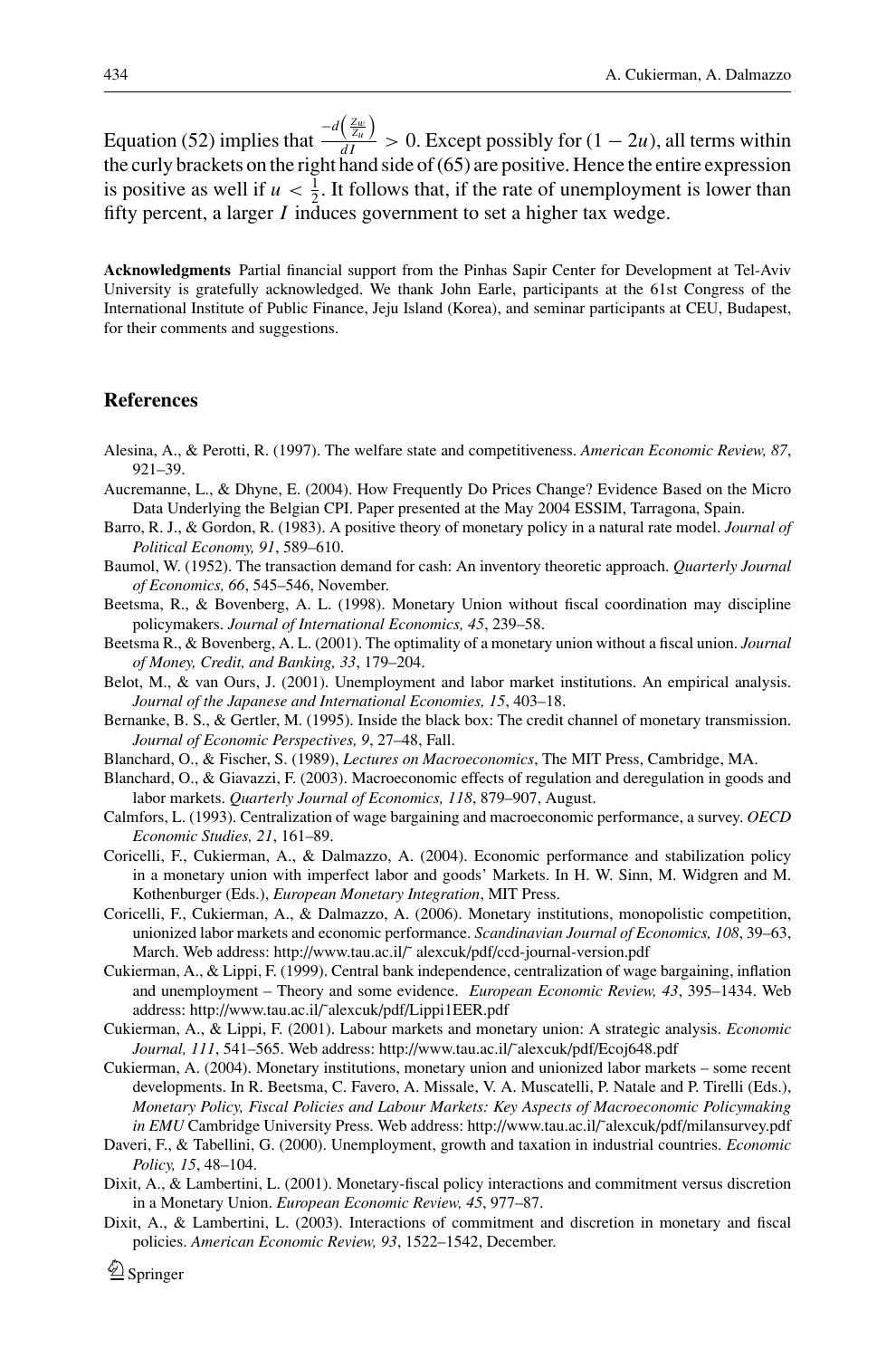Equation (52) implies that  $\frac{-d\left(\frac{Z_w}{Z_u}\right)}{dI}$  $\frac{\sum u_i}{dI} > 0$ . Except possibly for  $(1 - 2u)$ , all terms within the curly brackets on the right hand side of (65) are positive. Hence the entire expression is positive as well if  $u < \frac{1}{2}$ . It follows that, if the rate of unemployment is lower than fifty percent, a larger *I* induces government to set a higher tax wedge.

**Acknowledgments** Partial financial support from the Pinhas Sapir Center for Development at Tel-Aviv University is gratefully acknowledged. We thank John Earle, participants at the 61st Congress of the International Institute of Public Finance, Jeju Island (Korea), and seminar participants at CEU, Budapest, for their comments and suggestions.

#### **References**

- Alesina, A., & Perotti, R. (1997). The welfare state and competitiveness. *American Economic Review, 87*, 921–39.
- Aucremanne, L., & Dhyne, E. (2004). How Frequently Do Prices Change? Evidence Based on the Micro Data Underlying the Belgian CPI. Paper presented at the May 2004 ESSIM, Tarragona, Spain.
- Barro, R. J., & Gordon, R. (1983). A positive theory of monetary policy in a natural rate model. *Journal of Political Economy, 91*, 589–610.
- Baumol, W. (1952). The transaction demand for cash: An inventory theoretic approach. *Quarterly Journal of Economics, 66*, 545–546, November.
- Beetsma, R., & Bovenberg, A. L. (1998). Monetary Union without fiscal coordination may discipline policymakers. *Journal of International Economics, 45*, 239–58.
- Beetsma R., & Bovenberg, A. L. (2001). The optimality of a monetary union without a fiscal union. *Journal of Money, Credit, and Banking, 33*, 179–204.
- Belot, M., & van Ours, J. (2001). Unemployment and labor market institutions. An empirical analysis. *Journal of the Japanese and International Economies, 15*, 403–18.
- Bernanke, B. S., & Gertler, M. (1995). Inside the black box: The credit channel of monetary transmission. *Journal of Economic Perspectives, 9*, 27–48, Fall.
- Blanchard, O., & Fischer, S. (1989), *Lectures on Macroeconomics*, The MIT Press, Cambridge, MA.
- Blanchard, O., & Giavazzi, F. (2003). Macroeconomic effects of regulation and deregulation in goods and labor markets. *Quarterly Journal of Economics, 118*, 879–907, August.
- Calmfors, L. (1993). Centralization of wage bargaining and macroeconomic performance, a survey. *OECD Economic Studies, 21*, 161–89.
- Coricelli, F., Cukierman, A., & Dalmazzo, A. (2004). Economic performance and stabilization policy in a monetary union with imperfect labor and goods' Markets. In H. W. Sinn, M. Widgren and M. Kothenburger (Eds.), *European Monetary Integration*, MIT Press.
- Coricelli, F., Cukierman, A., & Dalmazzo, A. (2006). Monetary institutions, monopolistic competition, unionized labor markets and economic performance. *Scandinavian Journal of Economics, 108*, 39–63, March. Web address: http://www.tau.ac.il/~ alexcuk/pdf/ccd-journal-version.pdf
- Cukierman, A., & Lippi, F. (1999). Central bank independence, centralization of wage bargaining, inflation and unemployment – Theory and some evidence. *European Economic Review, 43*, 395–1434. Web address: http://www.tau.ac.il/˜alexcuk/pdf/Lippi1EER.pdf
- Cukierman, A., & Lippi, F. (2001). Labour markets and monetary union: A strategic analysis. *Economic Journal, 111*, 541–565. Web address: http://www.tau.ac.il/˜alexcuk/pdf/Ecoj648.pdf
- Cukierman, A. (2004). Monetary institutions, monetary union and unionized labor markets some recent developments. In R. Beetsma, C. Favero, A. Missale, V. A. Muscatelli, P. Natale and P. Tirelli (Eds.), *Monetary Policy, Fiscal Policies and Labour Markets: Key Aspects of Macroeconomic Policymaking in EMU* Cambridge University Press. Web address: http://www.tau.ac.il/˜alexcuk/pdf/milansurvey.pdf
- Daveri, F., & Tabellini, G. (2000). Unemployment, growth and taxation in industrial countries. *Economic Policy, 15*, 48–104.
- Dixit, A., & Lambertini, L. (2001). Monetary-fiscal policy interactions and commitment versus discretion in a Monetary Union. *European Economic Review, 45*, 977–87.
- Dixit, A., & Lambertini, L. (2003). Interactions of commitment and discretion in monetary and fiscal policies. *American Economic Review, 93*, 1522–1542, December.

 $\mathcal{Q}_{\text{Springer}}$